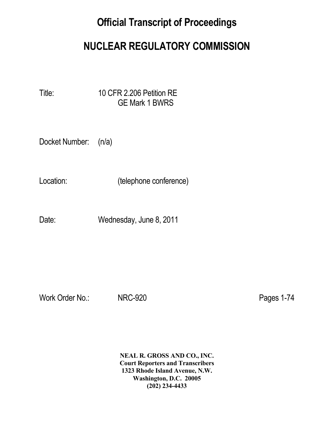# **Official Transcript of Proceedings**

# **NUCLEAR REGULATORY COMMISSION**

Title: 10 CFR 2.206 Petition RE GE Mark 1 BWRS

Docket Number: (n/a)

Location: (telephone conference)

Date: Wednesday, June 8, 2011

Work Order No.: NRC-920 Pages 1-74

 **NEAL R. GROSS AND CO., INC. Court Reporters and Transcribers 1323 Rhode Island Avenue, N.W. Washington, D.C. 20005 (202) 234-4433**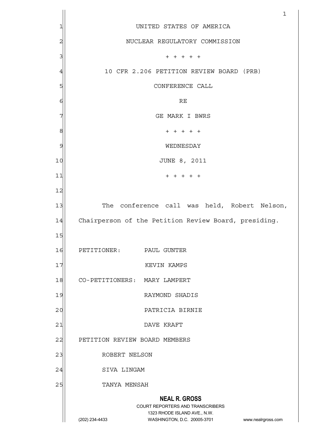|                | 1                                                                                                                                                               |
|----------------|-----------------------------------------------------------------------------------------------------------------------------------------------------------------|
| 1              | UNITED STATES OF AMERICA                                                                                                                                        |
| $\overline{c}$ | NUCLEAR REGULATORY COMMISSION                                                                                                                                   |
| 3              | $+ + + + +$                                                                                                                                                     |
| 4              | 10 CFR 2.206 PETITION REVIEW BOARD (PRB)                                                                                                                        |
| 5              | CONFERENCE CALL                                                                                                                                                 |
| 6              | RE                                                                                                                                                              |
| 7              | GE MARK I BWRS                                                                                                                                                  |
| 8              | $+ + + + + +$                                                                                                                                                   |
| 9              | WEDNESDAY                                                                                                                                                       |
| 10             | JUNE 8, 2011                                                                                                                                                    |
| 11             | $+ + + + +$                                                                                                                                                     |
| 12             |                                                                                                                                                                 |
| 13             | The conference call was held, Robert Nelson,                                                                                                                    |
| 14             | Chairperson of the Petition Review Board, presiding.                                                                                                            |
| 15             |                                                                                                                                                                 |
| 16             | PETITIONER:<br>PAUL GUNTER                                                                                                                                      |
| 17             | KEVIN KAMPS                                                                                                                                                     |
| 18             | CO-PETITIONERS:<br>MARY LAMPERT                                                                                                                                 |
| 19             | RAYMOND SHADIS                                                                                                                                                  |
| 20             | PATRICIA BIRNIE                                                                                                                                                 |
| 21             | DAVE KRAFT                                                                                                                                                      |
| 22             | PETITION REVIEW BOARD MEMBERS                                                                                                                                   |
| 23             | ROBERT NELSON                                                                                                                                                   |
| 24             | SIVA LINGAM                                                                                                                                                     |
| 25             | TANYA MENSAH                                                                                                                                                    |
|                | <b>NEAL R. GROSS</b><br>COURT REPORTERS AND TRANSCRIBERS<br>1323 RHODE ISLAND AVE., N.W.<br>WASHINGTON, D.C. 20005-3701<br>(202) 234-4433<br>www.nealrgross.com |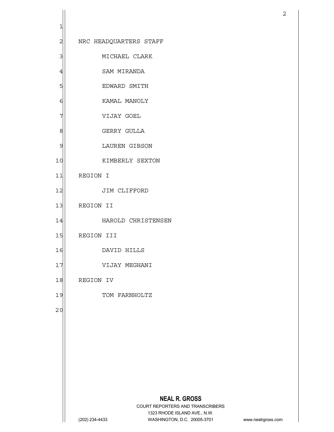|                         |                                                                  | $\overline{c}$     |
|-------------------------|------------------------------------------------------------------|--------------------|
| 1                       |                                                                  |                    |
| $\overline{\mathbf{c}}$ | NRC HEADQUARTERS STAFF                                           |                    |
| 3                       | MICHAEL CLARK                                                    |                    |
| $\overline{4}$          | SAM MIRANDA                                                      |                    |
| 5                       | EDWARD SMITH                                                     |                    |
| 6                       | KAMAL MANOLY                                                     |                    |
| 7                       | VIJAY GOEL                                                       |                    |
| 8                       | GERRY GULLA                                                      |                    |
| 9                       | LAUREN GIBSON                                                    |                    |
| 10                      | KIMBERLY SEXTON                                                  |                    |
| 11                      | REGION I                                                         |                    |
| 12                      | JIM CLIFFORD                                                     |                    |
| 13                      | REGION II                                                        |                    |
| 14                      | HAROLD CHRISTENSEN                                               |                    |
| 15                      | REGION III                                                       |                    |
| 16                      | DAVID HILLS                                                      |                    |
| 17                      | VIJAY MEGHANI                                                    |                    |
| 18                      | REGION IV                                                        |                    |
| 19                      | TOM FARNHOLTZ                                                    |                    |
| 20                      |                                                                  |                    |
|                         |                                                                  |                    |
|                         |                                                                  |                    |
|                         |                                                                  |                    |
|                         |                                                                  |                    |
|                         |                                                                  |                    |
|                         | <b>NEAL R. GROSS</b>                                             |                    |
|                         | COURT REPORTERS AND TRANSCRIBERS<br>1323 RHODE ISLAND AVE., N.W. |                    |
|                         | (202) 234-4433<br>WASHINGTON, D.C. 20005-3701                    | www.nealrgross.com |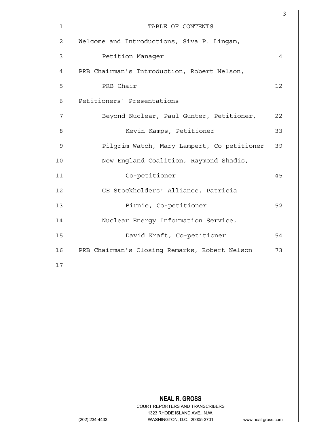|                |                                                                     | $\mathsf 3$ |
|----------------|---------------------------------------------------------------------|-------------|
| 1              | TABLE OF CONTENTS                                                   |             |
| $\overline{c}$ | Welcome and Introductions, Siva P. Lingam,                          |             |
| 3              | Petition Manager                                                    | 4           |
| $\overline{4}$ | PRB Chairman's Introduction, Robert Nelson,                         |             |
| 5              | PRB Chair                                                           | 12          |
| 6              | Petitioners' Presentations                                          |             |
| 7              | Beyond Nuclear, Paul Gunter, Petitioner,                            | 22          |
| 8              | Kevin Kamps, Petitioner                                             | 33          |
| $\mathcal{Q}$  | Pilgrim Watch, Mary Lampert, Co-petitioner                          | 39          |
| 10             | New England Coalition, Raymond Shadis,                              |             |
| 11             | Co-petitioner                                                       | 45          |
| 12             | GE Stockholders' Alliance, Patricia                                 |             |
| 13             | Birnie, Co-petitioner                                               | 52          |
| 14             | Nuclear Energy Information Service,                                 |             |
| 15             | David Kraft, Co-petitioner                                          | 54          |
| 16             | PRB Chairman's Closing Remarks, Robert Nelson                       | 73          |
| 17             |                                                                     |             |
|                |                                                                     |             |
|                |                                                                     |             |
|                |                                                                     |             |
|                |                                                                     |             |
|                |                                                                     |             |
|                |                                                                     |             |
|                |                                                                     |             |
|                |                                                                     |             |
|                | <b>NEAL R. GROSS</b>                                                |             |
|                | COURT REPORTERS AND TRANSCRIBERS<br>1323 RHODE ISLAND AVE., N.W.    |             |
|                | WASHINGTON, D.C. 20005-3701<br>(202) 234-4433<br>www.nealrgross.com |             |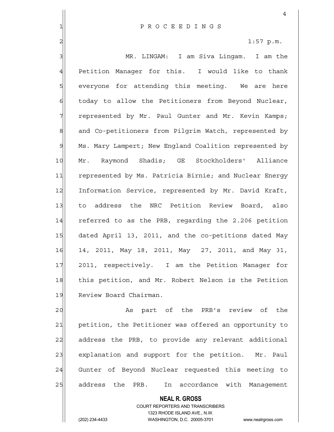|                | 4                                                      |
|----------------|--------------------------------------------------------|
| 1              | PROCEEDINGS                                            |
| $\overline{2}$ | $1:57$ p.m.                                            |
| 3              | MR. LINGAM: I am Siva Lingam. I am the                 |
| $\overline{4}$ | Petition Manager for this. I would like to thank       |
| 5              | everyone for attending this meeting. We are here       |
| $\epsilon$     | today to allow the Petitioners from Beyond Nuclear,    |
| 7              | represented by Mr. Paul Gunter and Mr. Kevin Kamps;    |
| 8              | and Co-petitioners from Pilgrim Watch, represented by  |
| 9              | Ms. Mary Lampert; New England Coalition represented by |
| 10             | Mr. Raymond Shadis; GE Stockholders' Alliance          |
| 11             | represented by Ms. Patricia Birnie; and Nuclear Energy |
| 12             | Information Service, represented by Mr. David Kraft,   |
| 13             | to address the NRC Petition Review Board, also         |
| 14             | referred to as the PRB, regarding the 2.206 petition   |
| 15             | dated April 13, 2011, and the co-petitions dated May   |
| 16             | 14, 2011, May 18, 2011, May 27, 2011, and May 31,      |
| 17             | 2011, respectively. I am the Petition Manager for      |
| 18             | this petition, and Mr. Robert Nelson is the Petition   |
| 19             | Review Board Chairman.                                 |
| 20             | part of the PRB's review of<br>As<br>the               |
| 21             | petition, the Petitioner was offered an opportunity to |

 $22$  address the PRB, to provide any relevant additional  $23$  explanation and support for the petition. Mr. Paul

24 Gunter of Beyond Nuclear requested this meeting to 25 address the PRB. In accordance with Management

> **NEAL R. GROSS** COURT REPORTERS AND TRANSCRIBERS

> > 1323 RHODE ISLAND AVE., N.W.

 $\mathbf{I}$ 

(202) 234-4433 WASHINGTON, D.C. 20005-3701 www.nealrgross.com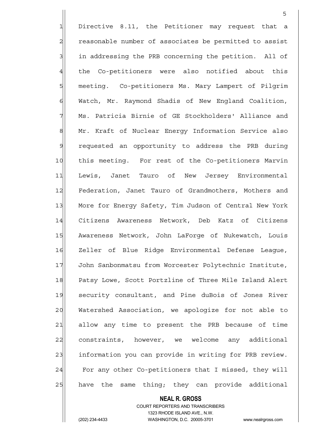1 Directive 8.11, the Petitioner may request that a 2 reasonable number of associates be permitted to assist 3 3 in addressing the PRB concerning the petition. All of 4 | the Co-petitioners were also notified about this 5 | meeting. Co-petitioners Ms. Mary Lampert of Pilgrim 6 Watch, Mr. Raymond Shadis of New England Coalition, 7 Ms. Patricia Birnie of GE Stockholders' Alliance and 8 Mr. Kraft of Nuclear Energy Information Service also 9 requested an opportunity to address the PRB during 10 | this meeting. For rest of the Co-petitioners Marvin 11 Lewis, Janet Tauro of New Jersey Environmental 12 Federation, Janet Tauro of Grandmothers, Mothers and 13 More for Energy Safety, Tim Judson of Central New York 14 Citizens Awareness Network, Deb Katz of Citizens 15 Awareness Network, John LaForge of Nukewatch, Louis 16 Zeller of Blue Ridge Environmental Defense League, 17 John Sanbonmatsu from Worcester Polytechnic Institute, 18 Patsy Lowe, Scott Portzline of Three Mile Island Alert 19 security consultant, and Pine duBois of Jones River 20 Watershed Association, we apologize for not able to 21 allow any time to present the PRB because of time 22 constraints, however, we welcome any additional 23 information you can provide in writing for PRB review. 24 For any other Co-petitioners that I missed, they will  $25$  have the same thing; they can provide additional

<u>5</u>

#### **NEAL R. GROSS**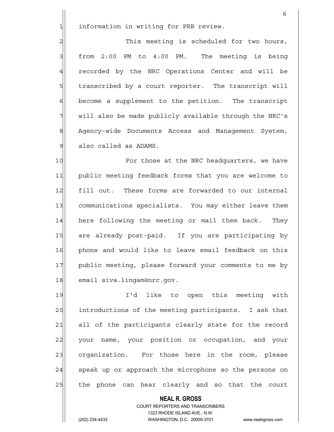$1$  information in writing for PRB review.

2 2 This meeting is scheduled for two hours,  $3$  from 2:00 PM to 4:00 PM. The meeting is being 4 recorded by the NRC Operations Center and will be 5 5 5 5 transcribed by a court reporter. The transcript will  $6$  become a supplement to the petition. The transcript 7 will also be made publicly available through the NRC's 8 Agency-wide Documents Access and Management System, 9 also called as ADAMS.

10 For those at the NRC headquarters, we have 11 public meeting feedback forms that you are welcome to 12 fill out. These forms are forwarded to our internal 13 communications specialists. You may either leave them 14 here following the meeting or mail them back. They 15 are already post-paid. If you are participating by 16 phone and would like to leave email feedback on this 17 public meeting, please forward your comments to me by 18 email siva.lingam@nrc.gov.

19 I'd like to open this meeting with 20 introductions of the meeting participants. I ask that 21 all of the participants clearly state for the record 22 your name, your position or occupation, and your 23 organization. For those here in the room, please 24 speak up or approach the microphone so the persons on 25 the phone can hear clearly and so that the court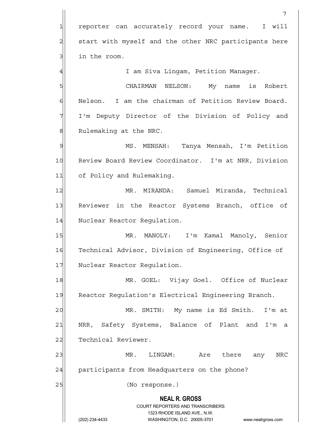**NEAL R. GROSS** COURT REPORTERS AND TRANSCRIBERS 1323 RHODE ISLAND AVE., N.W. (202) 234-4433 WASHINGTON, D.C. 20005-3701 www.nealrgross.com 7 1 reporter can accurately record your name. I will 2 start with myself and the other NRC participants here  $3$  in the room. 4 | Kurtaman, Petition Manager. 5 SI CHAIRMAN NELSON: My name is Robert 6 Nelson. I am the chairman of Petition Review Board. 7 I'm Deputy Director of the Division of Policy and 8 | Rulemaking at the NRC. 9 MS. MENSAH: Tanya Mensah, I'm Petition 10 Review Board Review Coordinator. I'm at NRR, Division 11 of Policy and Rulemaking. 12 MR. MIRANDA: Samuel Miranda, Technical 13 Reviewer in the Reactor Systems Branch, office of 14 Nuclear Reactor Regulation. 15 MR. MANOLY: I'm Kamal Manoly, Senior 16 Technical Advisor, Division of Engineering, Office of 17 Nuclear Reactor Regulation. 18 MR. GOEL: Vijay Goel. Office of Nuclear 19 Reactor Requlation's Electrical Engineering Branch. 20 MR. SMITH: My name is Ed Smith. I'm at 21 | NRR, Safety Systems, Balance of Plant and I'm a 22 Technical Reviewer. 23 MR. LINGAM: Are there any NRC 24 participants from Headquarters on the phone? 25 (No response.)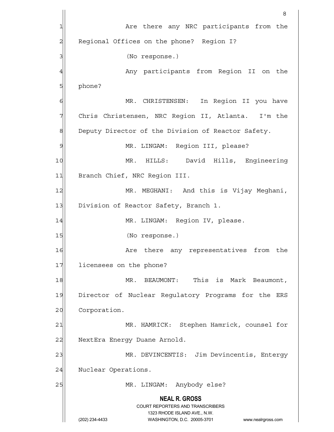**NEAL R. GROSS** COURT REPORTERS AND TRANSCRIBERS 1323 RHODE ISLAND AVE., N.W. (202) 234-4433 WASHINGTON, D.C. 20005-3701 www.nealrgross.com en andere de la provincia de la provincia de la provincia de la provincia de la provincia de la provincia del<br>Referències 1| The Are there any NRC participants from the 2 Regional Offices on the phone? Region I? 3 | (No response.) 4 Any participants from Region II on the  $5$  phone? 6 MR. CHRISTENSEN: In Region II you have 7 Chris Christensen, NRC Region II, Atlanta. I'm the 8 Deputy Director of the Division of Reactor Safety. 9 MR. LINGAM: Region III, please? 10 MR. HILLS: David Hills, Engineering 11 Branch Chief, NRC Region III. 12 MR. MEGHANI: And this is Vijay Meghani, 13 Division of Reactor Safety, Branch 1. 14 MR. LINGAM: Region IV, please. 15 (No response.) 16 are there any representatives from the 17 licensees on the phone? 18 MR. BEAUMONT: This is Mark Beaumont, 19 Director of Nuclear Regulatory Programs for the ERS 20 Corporation. 21 MR. HAMRICK: Stephen Hamrick, counsel for 22 NextEra Energy Duane Arnold. 23 MR. DEVINCENTIS: Jim Devincentis, Entergy 24 Nuclear Operations. 25 | MR. LINGAM: Anybody else?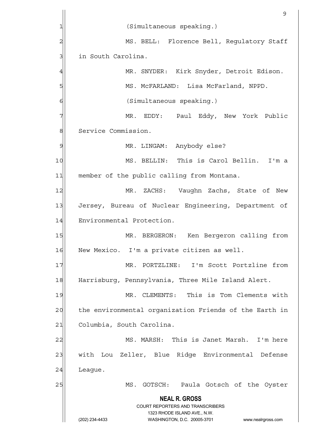|                         | 9                                                                                                                                                               |
|-------------------------|-----------------------------------------------------------------------------------------------------------------------------------------------------------------|
| 1                       | (Simultaneous speaking.)                                                                                                                                        |
| $\overline{\mathbf{c}}$ | MS. BELL: Florence Bell, Regulatory Staff                                                                                                                       |
| 3                       | in South Carolina.                                                                                                                                              |
| $\overline{4}$          | MR. SNYDER: Kirk Snyder, Detroit Edison.                                                                                                                        |
| 5                       | MS. MCFARLAND: Lisa McFarland, NPPD.                                                                                                                            |
| 6                       | (Simultaneous speaking.)                                                                                                                                        |
| 7                       | MR. EDDY: Paul Eddy, New York Public                                                                                                                            |
| $\,8\,$                 | Service Commission.                                                                                                                                             |
| 9                       | MR. LINGAM: Anybody else?                                                                                                                                       |
| 10                      | MS. BELLIN: This is Carol Bellin. I'm a                                                                                                                         |
| 11                      | member of the public calling from Montana.                                                                                                                      |
| 12                      | MR.<br>ZACHS: Vaughn Zachs, State of New                                                                                                                        |
| 13                      | Jersey, Bureau of Nuclear Engineering, Department of                                                                                                            |
| 14                      | Environmental Protection.                                                                                                                                       |
| 15                      | MR. BERGERON: Ken Bergeron calling from                                                                                                                         |
| 16                      | New Mexico. I'm a private citizen as well.                                                                                                                      |
| 17                      | MR. PORTZLINE: I'm Scott Portzline from                                                                                                                         |
| 18                      | Harrisburg, Pennsylvania, Three Mile Island Alert.                                                                                                              |
| 19                      | MR. CLEMENTS: This is Tom Clements with                                                                                                                         |
| 20                      | the environmental organization Friends of the Earth in                                                                                                          |
| 21                      | Columbia, South Carolina.                                                                                                                                       |
| 22                      | MS. MARSH: This is Janet Marsh. I'm here                                                                                                                        |
| 23                      | with Lou Zeller, Blue Ridge Environmental Defense                                                                                                               |
| 24                      | League.                                                                                                                                                         |
| 25                      | GOTSCH: Paula Gotsch of the Oyster<br>MS.                                                                                                                       |
|                         | <b>NEAL R. GROSS</b><br>COURT REPORTERS AND TRANSCRIBERS<br>1323 RHODE ISLAND AVE., N.W.<br>(202) 234-4433<br>WASHINGTON, D.C. 20005-3701<br>www.nealrgross.com |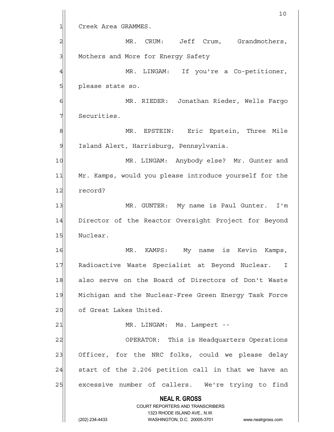|                 | 10                                                                  |
|-----------------|---------------------------------------------------------------------|
| 1               | Creek Area GRAMMES.                                                 |
| 2               | MR.<br>CRUM: Jeff<br>Crum, Grandmothers,                            |
| 3               | Mothers and More for Energy Safety                                  |
| 4               | If you're a Co-petitioner,<br>MR.<br>LINGAM:                        |
| 5               | please state so.                                                    |
| 6               | MR. RIEDER: Jonathan Rieder, Wells Fargo                            |
| 7               | Securities.                                                         |
| 8               | Eric Epstein, Three Mile<br>MR. EPSTEIN:                            |
| 9               | Island Alert, Harrisburg, Pennsylvania.                             |
| 10              | MR. LINGAM: Anybody else? Mr. Gunter and                            |
| 11              | Mr. Kamps, would you please introduce yourself for the              |
| 12              | record?                                                             |
| 13              | MR. GUNTER: My name is Paul Gunter.<br>I'm                          |
| 14              | Director of the Reactor Oversight Project for Beyond                |
| 15              | Nuclear.                                                            |
| 16              | MR<br>My name is Kevin<br>, Kamps<br>KAMPS:                         |
| 17              | Radioactive Waste Specialist at Beyond Nuclear. I                   |
| 18              | also serve on the Board of Directors of Don't Waste                 |
| 19              | Michigan and the Nuclear-Free Green Energy Task Force               |
| 20              | of Great Lakes United.                                              |
| $\overline{21}$ | MR. LINGAM: Ms. Lampert --                                          |
| 22              | OPERATOR: This is Headquarters Operations                           |
| 23              | Officer, for the NRC folks, could we please delay                   |
| 24              | start of the 2.206 petition call in that we have an                 |
| 25              | excessive number of callers. We're trying to find                   |
|                 | <b>NEAL R. GROSS</b>                                                |
|                 | COURT REPORTERS AND TRANSCRIBERS<br>1323 RHODE ISLAND AVE., N.W.    |
|                 | (202) 234-4433<br>WASHINGTON, D.C. 20005-3701<br>www.nealrgross.com |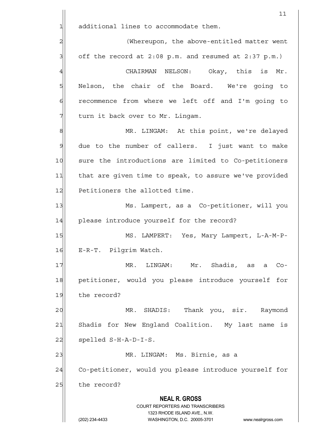**NEAL R. GROSS** COURT REPORTERS AND TRANSCRIBERS 1323 RHODE ISLAND AVE., N.W. (202) 234-4433 WASHINGTON, D.C. 20005-3701 www.nealrgross.com 11  $1$  additional lines to accommodate them. 2 2 (Whereupon, the above-entitled matter went  $3$  off the record at 2:08 p.m. and resumed at 2:37 p.m.) 4 GHAIRMAN NELSON: Okay, this is Mr. 5 | Nelson, the chair of the Board. We're going to  $6$  recommence from where we left off and I'm going to 7 The Ultimum it back over to Mr. Lingam. 8 MR. LINGAM: At this point, we're delayed  $9$  due to the number of callers. I just want to make 10 sure the introductions are limited to Co-petitioners 11 that are given time to speak, to assure we've provided 12 Petitioners the allotted time. 13 Ms. Lampert, as a Co-petitioner, will you 14 please introduce yourself for the record? 15 MS. LAMPERT: Yes, Mary Lampert, L-A-M-P-16 E-R-T. Pilgrim Watch. 17 MR. LINGAM: Mr. Shadis, as a Co-18 petitioner, would you please introduce yourself for 19 the record? 20 MR. SHADIS: Thank you, sir. Raymond 21 Shadis for New England Coalition. My last name is  $22$  spelled S-H-A-D-I-S. 23 | MR. LINGAM: Ms. Birnie, as a 24 Co-petitioner, would you please introduce yourself for 25 the record?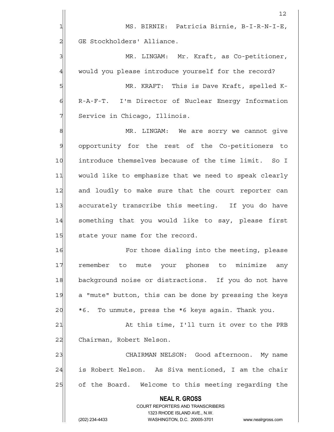|                | 12                                                                                                  |
|----------------|-----------------------------------------------------------------------------------------------------|
| 1              | MS. BIRNIE: Patricia Birnie, B-I-R-N-I-E,                                                           |
| $\overline{a}$ | GE Stockholders' Alliance.                                                                          |
| 3              | MR. LINGAM: Mr. Kraft, as Co-petitioner,                                                            |
| $\overline{4}$ | would you please introduce yourself for the record?                                                 |
| 5              | MR. KRAFT: This is Dave Kraft, spelled K-                                                           |
| 6              | R-A-F-T. I'm Director of Nuclear Energy Information                                                 |
| 7              | Service in Chicago, Illinois.                                                                       |
| $\mathbf{8}$   | MR. LINGAM: We are sorry we cannot give                                                             |
| $\mathcal{G}$  | opportunity for the rest of the Co-petitioners to                                                   |
| 10             | introduce themselves because of the time limit. So I                                                |
| 11             | would like to emphasize that we need to speak clearly                                               |
| 12             | and loudly to make sure that the court reporter can                                                 |
| 13             | accurately transcribe this meeting. If you do have                                                  |
| 14             | something that you would like to say, please first                                                  |
| 15             | state your name for the record.                                                                     |
| 16             | For those dialing into the meeting, please                                                          |
| 17             | remember to mute your phones to minimize any                                                        |
| 18             | background noise or distractions. If you do not have                                                |
| 19             | a "mute" button, this can be done by pressing the keys                                              |
| 20             | To unmute, press the *6 keys again. Thank you.<br>$*6.$                                             |
| 21             | At this time, I'll turn it over to the PRB                                                          |
| 22             | Chairman, Robert Nelson.                                                                            |
| 23             | CHAIRMAN NELSON: Good afternoon. My name                                                            |
| 24             | is Robert Nelson. As Siva mentioned, I am the chair                                                 |
| 25             | of the Board. Welcome to this meeting regarding the                                                 |
|                | <b>NEAL R. GROSS</b>                                                                                |
|                | <b>COURT REPORTERS AND TRANSCRIBERS</b>                                                             |
|                | 1323 RHODE ISLAND AVE., N.W.<br>(202) 234-4433<br>WASHINGTON, D.C. 20005-3701<br>www.nealrgross.com |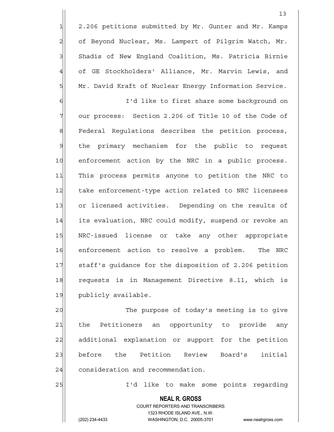1 2.206 petitions submitted by Mr. Gunter and Mr. Kamps 2 of Beyond Nuclear, Ms. Lampert of Pilgrim Watch, Mr. 3 Shadis of New England Coalition, Ms. Patricia Birnie 4 of GE Stockholders' Alliance, Mr. Marvin Lewis, and 5 Mr. David Kraft of Nuclear Energy Information Service.

6 6 I'd like to first share some background on 7 our process: Section 2.206 of Title 10 of the Code of 8 | Federal Regulations describes the petition process, 9 the primary mechanism for the public to request 10 enforcement action by the NRC in a public process. 11 This process permits anyone to petition the NRC to 12 take enforcement-type action related to NRC licensees 13 or licensed activities. Depending on the results of 14 its evaluation, NRC could modify, suspend or revoke an 15 NRC-issued license or take any other appropriate 16 enforcement action to resolve a problem. The NRC 17 staff's quidance for the disposition of 2.206 petition 18 requests is in Management Directive 8.11, which is 19 publicly available.

20  $\vert$  The purpose of today's meeting is to give 21 the Petitioners an opportunity to provide any 22 additional explanation or support for the petition 23 before the Petition Review Board's initial 24 consideration and recommendation.

25 I'd like to make some points regarding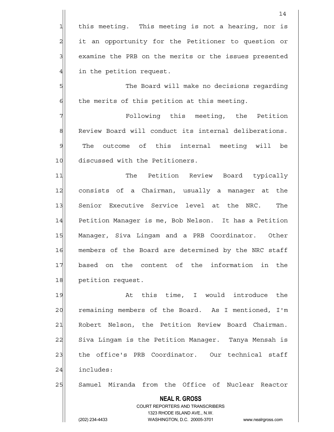$1$  this meeting. This meeting is not a hearing, nor is 2 it an opportunity for the Petitioner to question or 3 3 examine the PRB on the merits or the issues presented 4 in the petition request.

5 S  $6$  the merits of this petition at this meeting.

7 The Petition Following this meeting, the Petition 8 Review Board will conduct its internal deliberations. 9 The outcome of this internal meeting will be 10 discussed with the Petitioners.

11 The Petition Review Board typically 12 consists of a Chairman, usually a manager at the 13 Senior Executive Service level at the NRC. The 14 Petition Manager is me, Bob Nelson. It has a Petition 15 Manager, Siva Lingam and a PRB Coordinator. Other 16 | members of the Board are determined by the NRC staff 17 based on the content of the information in the 18 petition request.

19 at this time, I would introduce the 20 remaining members of the Board. As I mentioned, I'm 21 Robert Nelson, the Petition Review Board Chairman. 22 Siva Lingam is the Petition Manager. Tanya Mensah is 23 the office's PRB Coordinator. Our technical staff 24 includes:

25 Samuel Miranda from the Office of Nuclear Reactor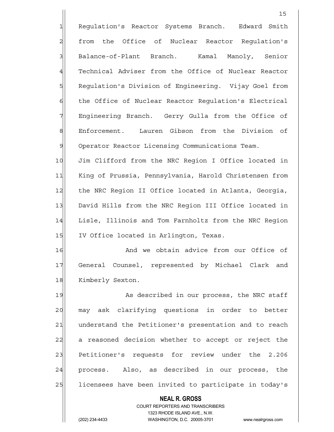**NEAL R. GROSS** COURT REPORTERS AND TRANSCRIBERS 1323 RHODE ISLAND AVE., N.W. 15 1 Requlation's Reactor Systems Branch. Edward Smith 2 from the Office of Nuclear Reactor Requlation's 3 Balance-of-Plant Branch. Kamal Manoly, Senior 4 Technical Adviser from the Office of Nuclear Reactor 5 Requlation's Division of Engineering. Vijay Goel from 6 the Office of Nuclear Reactor Regulation's Electrical 7 Engineering Branch. Gerry Gulla from the Office of 8 Enforcement. Lauren Gibson from the Division of 9 Operator Reactor Licensing Communications Team. 10 Jim Clifford from the NRC Region I Office located in 11 King of Prussia, Pennsylvania, Harold Christensen from 12 the NRC Region II Office located in Atlanta, Georgia, 13 David Hills from the NRC Region III Office located in 14 Lisle, Illinois and Tom Farnholtz from the NRC Region 15 IV Office located in Arlington, Texas. 16 and we obtain advice from our Office of 17 General Counsel, represented by Michael Clark and 18 Kimberly Sexton. 19 As described in our process, the NRC staff 20 may ask clarifying questions in order to better 21 | understand the Petitioner's presentation and to reach 22 a reasoned decision whether to accept or reject the 23 Petitioner's requests for review under the 2.206 24 process. Also, as described in our process, the 25 licensees have been invited to participate in today's

(202) 234-4433 WASHINGTON, D.C. 20005-3701 www.nealrgross.com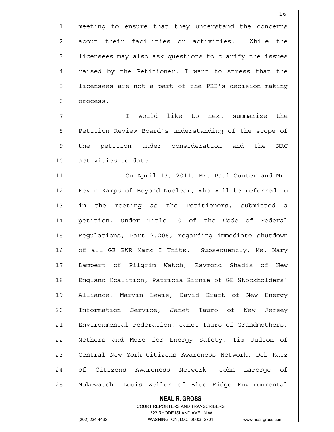1 meeting to ensure that they understand the concerns 2 about their facilities or activities. While the 3 licensees may also ask questions to clarify the issues 4 raised by the Petitioner, I want to stress that the 5 | licensees are not a part of the PRB's decision-making 6 process.

7 I would like to next summarize the 8 | Petition Review Board's understanding of the scope of 9 the petition under consideration and the NRC 10 activities to date.

11 On April 13, 2011, Mr. Paul Gunter and Mr. 12 Kevin Kamps of Beyond Nuclear, who will be referred to 13 in the meeting as the Petitioners, submitted a 14 petition, under Title 10 of the Code of Federal 15 Regulations, Part 2.206, regarding immediate shutdown 16 of all GE BWR Mark I Units. Subsequently, Ms. Mary 17 Lampert of Pilgrim Watch, Raymond Shadis of New 18 England Coalition, Patricia Birnie of GE Stockholders' 19 Alliance, Marvin Lewis, David Kraft of New Energy 20 Information Service, Janet Tauro of New Jersey 21 Environmental Federation, Janet Tauro of Grandmothers, 22 Mothers and More for Energy Safety, Tim Judson of 23 Central New York-Citizens Awareness Network, Deb Katz 24 of Citizens Awareness Network, John LaForge of 25 | Nukewatch, Louis Zeller of Blue Ridge Environmental

#### **NEAL R. GROSS**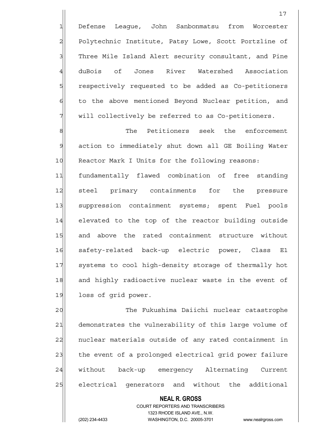1 Defense League, John Sanbonmatsu from Worcester 2 Polytechnic Institute, Patsy Lowe, Scott Portzline of 3| Three Mile Island Alert security consultant, and Pine 4 duBois of Jones River Watershed Association 5 5 5 5 5 respectively requested to be added as Co-petitioners 6 to the above mentioned Beyond Nuclear petition, and  $7$  will collectively be referred to as Co-petitioners.

8 8 Reference The Petitioners seek the enforcement 9 action to immediately shut down all GE Boiling Water 10 Reactor Mark I Units for the following reasons: 11 fundamentally flawed combination of free standing 12 steel primary containments for the pressure 13 suppression containment systems; spent Fuel pools 14 elevated to the top of the reactor building outside 15 and above the rated containment structure without 16 safety-related back-up electric power, Class E1 17 systems to cool high-density storage of thermally hot 18 and highly radioactive nuclear waste in the event of 19 loss of grid power.

20 | The Fukushima Daiichi nuclear catastrophe 21 demonstrates the vulnerability of this large volume of 22 nuclear materials outside of any rated containment in 23 the event of a prolonged electrical grid power failure 24 without back-up emergency Alternating Current 25 electrical generators and without the additional

## **NEAL R. GROSS**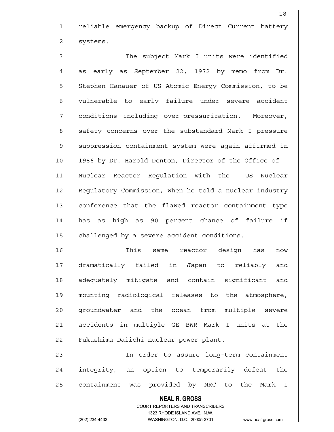1 reliable emergency backup of Direct Current battery  $2$  systems.

3 3 3 The subject Mark I units were identified  $4$  as early as September 22, 1972 by memo from Dr. 5 Stephen Hanauer of US Atomic Energy Commission, to be 6 vulnerable to early failure under severe accident 7 conditions including over-pressurization. Moreover, 8 8 safety concerns over the substandard Mark I pressure 9 suppression containment system were again affirmed in 10 1986 by Dr. Harold Denton, Director of the Office of 11 Nuclear Reactor Regulation with the US Nuclear 12 Regulatory Commission, when he told a nuclear industry 13 conference that the flawed reactor containment type 14 has as high as 90 percent chance of failure if 15 challenged by a severe accident conditions.

16 This same reactor design has now 17 dramatically failed in Japan to reliably and 18 adequately mitigate and contain significant and 19 mounting radiological releases to the atmosphere, 20 qroundwater and the ocean from multiple severe 21 accidents in multiple GE BWR Mark I units at the 22 Fukushima Daiichi nuclear power plant.

23 and 1 In order to assure long-term containment 24 integrity, an option to temporarily defeat the 25 containment was provided by NRC to the Mark I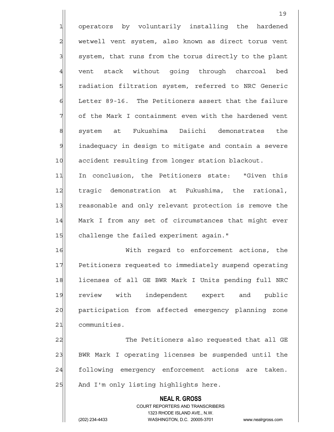1 operators by voluntarily installing the hardened 2 wetwell vent system, also known as direct torus vent 3 system, that runs from the torus directly to the plant 4 vent stack without going through charcoal bed 5 | radiation filtration system, referred to NRC Generic  $6$  Letter 89-16. The Petitioners assert that the failure  $7$  of the Mark I containment even with the hardened vent 8 system at Fukushima Daiichi demonstrates the 9 inadequacy in design to mitigate and contain a severe 10 accident resulting from longer station blackout. 11 In conclusion, the Petitioners state: "Given this 12 tragic demonstration at Fukushima, the rational,

13 reasonable and only relevant protection is remove the 14 Mark I from any set of circumstances that might ever 15 challenge the failed experiment again."

16| With regard to enforcement actions, the 17 Petitioners requested to immediately suspend operating 18 licenses of all GE BWR Mark I Units pending full NRC 19 review with independent expert and public 20 participation from affected emergency planning zone 21 communities.

22 The Petitioners also requested that all GE 23 BWR Mark I operating licenses be suspended until the 24 | following emergency enforcement actions are taken. 25 And I'm only listing highlights here.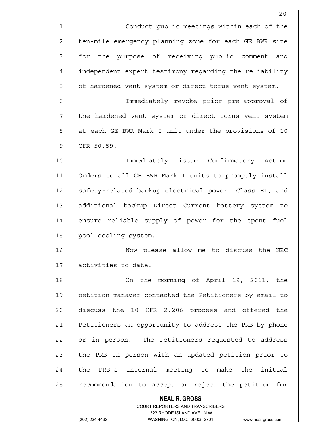1 Conduct public meetings within each of the 2 ten-mile emergency planning zone for each GE BWR site 3 for the purpose of receiving public comment and 4 independent expert testimony regarding the reliability 5 of hardened vent system or direct torus vent system. 6 6 Immediately revoke prior pre-approval of 7 the hardened vent system or direct torus vent system

8 8 at each GE BWR Mark I unit under the provisions of 10 9 CFR 50.59.

10 Immediately issue Confirmatory Action 11 Orders to all GE BWR Mark I units to promptly install 12 safety-related backup electrical power, Class E1, and 13 additional backup Direct Current battery system to 14 ensure reliable supply of power for the spent fuel 15 pool cooling system.

16 Now please allow me to discuss the NRC 17 activities to date.

18 On the morning of April 19, 2011, the 19 petition manager contacted the Petitioners by email to 20 discuss the 10 CFR 2.206 process and offered the 21 Petitioners an opportunity to address the PRB by phone 22 or in person. The Petitioners requested to address 23 the PRB in person with an updated petition prior to 24 the PRB's internal meeting to make the initial 25 recommendation to accept or reject the petition for

## **NEAL R. GROSS**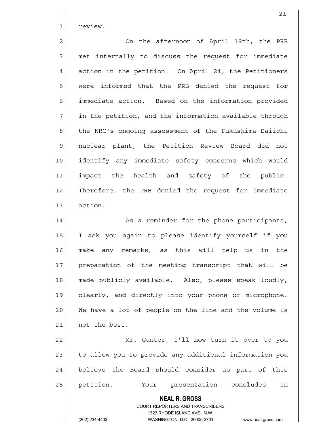1 review.

2 2 On the afternoon of April 19th, the PRB 3 met internally to discuss the request for immediate 4 action in the petition. On April 24, the Petitioners 5 s were informed that the PRB denied the request for 6 immediate action. Based on the information provided  $7$  in the petition, and the information available through 8| the NRC's ongoing assessment of the Fukushima Daiichi 9 nuclear plant, the Petition Review Board did not 10 identify any immediate safety concerns which would 11 impact the health and safety of the public. 12 Therefore, the PRB denied the request for immediate 13 action.

14 as a reminder for the phone participants, 15 I ask you again to please identify yourself if you 16 make any remarks, as this will help us in the 17 preparation of the meeting transcript that will be 18 made publicly available. Also, please speak loudly, 19 clearly, and directly into your phone or microphone.  $20$  We have a lot of people on the line and the volume is 21 not the best.

22 Mr. Gunter, I'll now turn it over to you 23 to allow you to provide any additional information you 24 believe the Board should consider as part of this 25 petition. Your presentation concludes in

> **NEAL R. GROSS** COURT REPORTERS AND TRANSCRIBERS 1323 RHODE ISLAND AVE., N.W.

(202) 234-4433 WASHINGTON, D.C. 20005-3701 www.nealrgross.com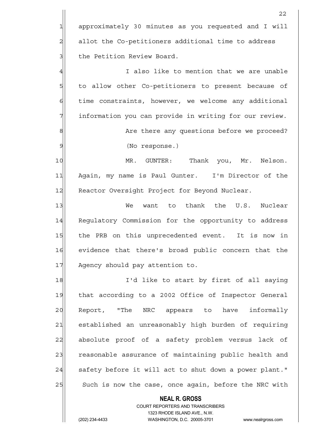**NEAL R. GROSS** <u>22</u> 1 approximately 30 minutes as you requested and I will  $2$  allot the Co-petitioners additional time to address 3 3 the Petition Review Board. 4 also like to mention that we are unable 5 5 5 5 to allow other Co-petitioners to present because of  $6$  time constraints, however, we welcome any additional 7 information you can provide in writing for our review. 8 8 8 Are there any questions before we proceed? 9 (No response.) 10 MR. GUNTER: Thank you, Mr. Nelson. 11 Again, my name is Paul Gunter. I'm Director of the 12 Reactor Oversight Project for Beyond Nuclear. 13 Ne want to thank the U.S. Nuclear 14 Regulatory Commission for the opportunity to address 15 the PRB on this unprecedented event. It is now in 16 evidence that there's broad public concern that the 17 Agency should pay attention to. 18 I'd like to start by first of all saying 19 that according to a 2002 Office of Inspector General 20 Report, "The NRC appears to have informally 21 established an unreasonably high burden of requiring 22 absolute proof of a safety problem versus lack of 23 reasonable assurance of maintaining public health and  $24$  safety before it will act to shut down a power plant." 25 Such is now the case, once again, before the NRC with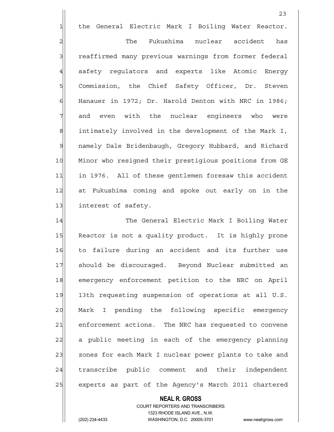1 the General Electric Mark I Boiling Water Reactor.

23

2 and The Fukushima nuclear accident has 3 reaffirmed many previous warnings from former federal 4 safety regulators and experts like Atomic Energy 5 SQU Commission, the Chief Safety Officer, Dr. Steven  $6$  Hanauer in 1972; Dr. Harold Denton with NRC in 1986; 7 and even with the nuclear engineers who were 8 8 8 intimately involved in the development of the Mark I, 9 | namely Dale Bridenbaugh, Gregory Hubbard, and Richard 10 Minor who resigned their prestigious positions from GE 11 in 1976. All of these gentlemen foresaw this accident 12 at Fukushima coming and spoke out early on in the 13 interest of safety.

14 The General Electric Mark I Boiling Water 15 Reactor is not a quality product. It is highly prone 16 to failure during an accident and its further use 17 should be discouraged. Beyond Nuclear submitted an 18 emergency enforcement petition to the NRC on April 19 13th requesting suspension of operations at all U.S. 20 Mark I pending the following specific emergency 21 enforcement actions. The NRC has requested to convene 22 a public meeting in each of the emergency planning 23 zones for each Mark I nuclear power plants to take and 24 transcribe public comment and their independent 25 experts as part of the Agency's March 2011 chartered

## **NEAL R. GROSS**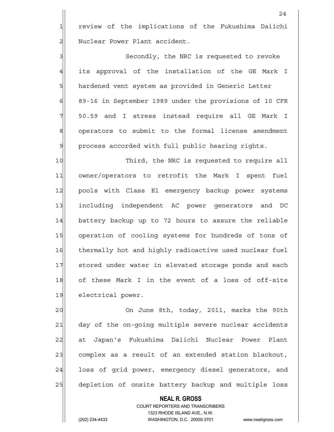1 review of the implications of the Fukushima Daiichi 2 Nuclear Power Plant accident.

3 3 Secondly, the NRC is requested to revoke 4 its approval of the installation of the GE Mark I 5 hardened vent system as provided in Generic Letter 6 89-16 in September 1989 under the provisions of 10 CFR  $7$  50.59 and I stress instead require all GE Mark I 8| operators to submit to the formal license amendment 9 process accorded with full public hearing rights.

10 Third, the NRC is requested to require all 11 owner/operators to retrofit the Mark I spent fuel 12 pools with Class E1 emergency backup power systems 13 including independent AC power generators and DC 14 battery backup up to 72 hours to assure the reliable 15 operation of cooling systems for hundreds of tons of 16 thermally hot and highly radioactive used nuclear fuel 17 stored under water in elevated storage ponds and each 18 of these Mark I in the event of a loss of off-site 19 electrical power.

20 On June 8th, today, 2011, marks the 90th 21 day of the on-going multiple severe nuclear accidents 22 at Japan's Fukushima Daiichi Nuclear Power Plant 23 complex as a result of an extended station blackout, 24 loss of grid power, emergency diesel generators, and 25 depletion of onsite battery backup and multiple loss

# **NEAL R. GROSS**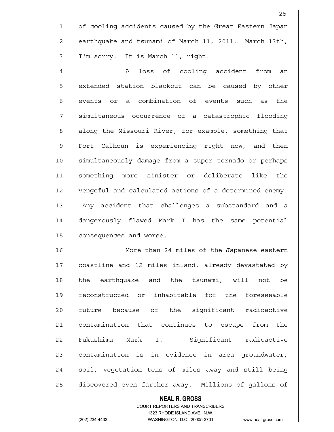1 of cooling accidents caused by the Great Eastern Japan 2 earthquake and tsunami of March 11, 2011. March 13th, 3 I'm sorry. It is March 11, right.

<u>25 and 25</u>

4 A loss of cooling accident from an 5 s extended station blackout can be caused by other 6 events or a combination of events such as the 7 simultaneous occurrence of a catastrophic flooding 8 8 8 along the Missouri River, for example, something that 9 Fort Calhoun is experiencing right now, and then 10 simultaneously damage from a super tornado or perhaps 11 something more sinister or deliberate like the 12 vengeful and calculated actions of a determined enemy. 13 Any accident that challenges a substandard and a 14 dangerously flawed Mark I has the same potential 15 consequences and worse.

16 More than 24 miles of the Japanese eastern 17 coastline and 12 miles inland, already devastated by 18 the earthquake and the tsunami, will not be 19 reconstructed or inhabitable for the foreseeable 20 future because of the significant radioactive 21 contamination that continues to escape from the 22 Fukushima Mark I. Significant radioactive  $23$  contamination is in evidence in area groundwater, 24 soil, vegetation tens of miles away and still being 25 discovered even farther away. Millions of gallons of

#### **NEAL R. GROSS**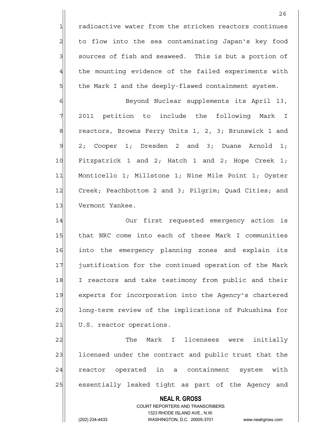$1$  radioactive water from the stricken reactors continues 2 to flow into the sea contaminating Japan's key food 3 3 sources of fish and seaweed. This is but a portion of 4 the mounting evidence of the failed experiments with  $5$  the Mark I and the deeply-flawed containment system.

6 6 Beyond Nuclear supplements its April 13, 7 2011 petition to include the following Mark I 8 reactors, Browns Ferry Units 1, 2, 3; Brunswick 1 and  $9 \mid 2;$  Cooper 1; Dresden 2 and 3; Duane Arnold 1; 10 Fitzpatrick 1 and 2; Hatch 1 and 2; Hope Creek 1; 11 Monticello 1; Millstone 1; Nine Mile Point 1; Oyster 12 Creek; Peachbottom 2 and 3; Pilgrim; Quad Cities; and 13 Vermont Yankee.

14 Our first requested emergency action is 15 that NRC come into each of these Mark I communities 16 into the emergency planning zones and explain its 17 justification for the continued operation of the Mark 18 I reactors and take testimony from public and their 19 experts for incorporation into the Agency's chartered 20 1 long-term review of the implications of Fukushima for 21 U.S. reactor operations.

22 The Mark I licensees were initially 23 licensed under the contract and public trust that the 24 reactor operated in a containment system with 25 essentially leaked tight as part of the Agency and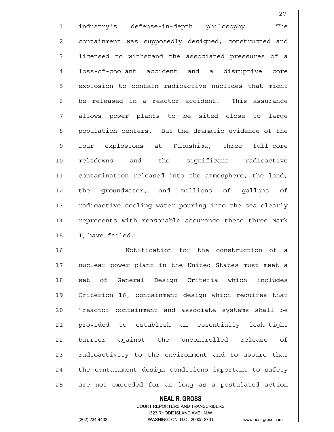1 industry's defense-in-depth philosophy. The 2 containment was supposedly designed, constructed and 3 3 licensed to withstand the associated pressures of a 4 loss-of-coolant accident and a disruptive core 5 s explosion to contain radioactive nuclides that might  $\delta$  be released in a reactor accident. This assurance 7 allows power plants to be sited close to large 8| population centers. But the dramatic evidence of the 9 four explosions at Fukushima, three full-core 10 meltdowns and the significant radioactive 11 contamination released into the atmosphere, the land, 12 the groundwater, and millions of gallons of 13 radioactive cooling water pouring into the sea clearly 14 represents with reasonable assurance these three Mark  $15$  I have failed.

27

16 16 Notification for the construction of a 17 | nuclear power plant in the United States must meet a 18 set of General Design Criteria which includes 19 Criterion 16, containment design which requires that 20 | "reactor containment and associate systems shall be 21 provided to establish an essentially leak-tight 22 barrier against the uncontrolled release of 23 radioactivity to the environment and to assure that 24 the containment design conditions important to safety 25 are not exceeded for as long as a postulated action

## **NEAL R. GROSS**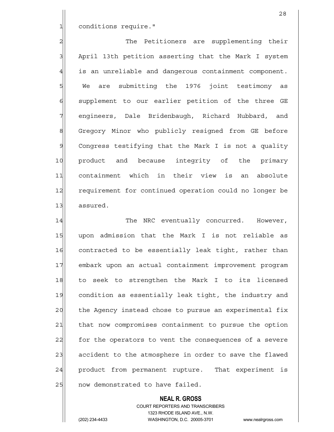1 conditions require."

2 2 The Petitioners are supplementing their 3 April 13th petition asserting that the Mark I system 4 is an unreliable and dangerous containment component. 5 We are submitting the 1976 joint testimony as 6 supplement to our earlier petition of the three GE 7 engineers, Dale Bridenbaugh, Richard Hubbard, and 8 | Gregory Minor who publicly resigned from GE before 9 Congress testifying that the Mark I is not a quality 10 product and because integrity of the primary 11 containment which in their view is an absolute 12 requirement for continued operation could no longer be 13 assured.

14 The NRC eventually concurred. However, 15 upon admission that the Mark I is not reliable as 16 contracted to be essentially leak tight, rather than 17 embark upon an actual containment improvement program 18 to seek to strengthen the Mark I to its licensed 19 condition as essentially leak tight, the industry and 20 the Agency instead chose to pursue an experimental fix 21 that now compromises containment to pursue the option 22 for the operators to vent the consequences of a severe 23 accident to the atmosphere in order to save the flawed 24 product from permanent rupture. That experiment is 25 | now demonstrated to have failed.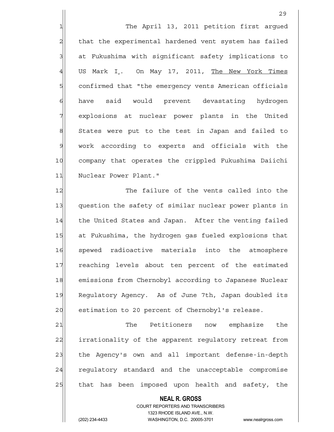1 The April 13, 2011 petition first arqued 2 that the experimental hardened vent system has failed 3 at Fukushima with significant safety implications to  $4$  US Mark I. On May 17, 2011, The New York Times 5 Square confirmed that "the emergency vents American officials 6 have said would prevent devastating hydrogen 7 | explosions at nuclear power plants in the United 8 States were put to the test in Japan and failed to 9 work according to experts and officials with the 10 company that operates the crippled Fukushima Daiichi 11 Nuclear Power Plant."

12 The failure of the vents called into the 13 question the safety of similar nuclear power plants in 14 the United States and Japan. After the venting failed 15 at Fukushima, the hydrogen gas fueled explosions that 16 spewed radioactive materials into the atmosphere 17 reaching levels about ten percent of the estimated 18 emissions from Chernobyl according to Japanese Nuclear 19 Regulatory Agency. As of June 7th, Japan doubled its 20 estimation to 20 percent of Chernobyl's release.

21 The Petitioners now emphasize the 22 irrationality of the apparent requlatory retreat from 23 the Agency's own and all important defense-in-depth 24 regulatory standard and the unacceptable compromise 25 that has been imposed upon health and safety, the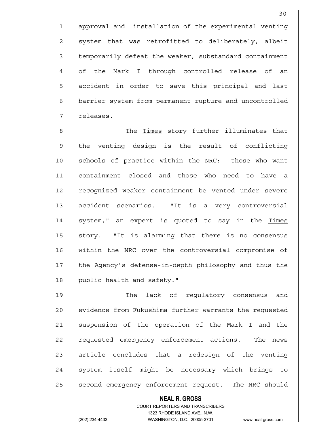1 approval and installation of the experimental venting 2 system that was retrofitted to deliberately, albeit 3 3 1 temporarily defeat the weaker, substandard containment 4 of the Mark I through controlled release of an 5 5 5 5 5 5 accident in order to save this principal and last 6 barrier system from permanent rupture and uncontrolled 7 *releases*.

8|| The Times story further illuminates that 9 the venting design is the result of conflicting 10 schools of practice within the NRC: those who want 11 containment closed and those who need to have a 12 recognized weaker containment be vented under severe 13 accident scenarios. "It is a very controversial 14 system," an expert is quoted to say in the Times 15 story. "It is alarming that there is no consensus 16 | within the NRC over the controversial compromise of 17 the Agency's defense-in-depth philosophy and thus the 18 public health and safety."

19 The lack of requlatory consensus and 20 evidence from Fukushima further warrants the requested 21 suspension of the operation of the Mark I and the 22 requested emergency enforcement actions. The news 23 article concludes that a redesign of the venting 24 system itself might be necessary which brings to 25 second emergency enforcement request. The NRC should

## **NEAL R. GROSS**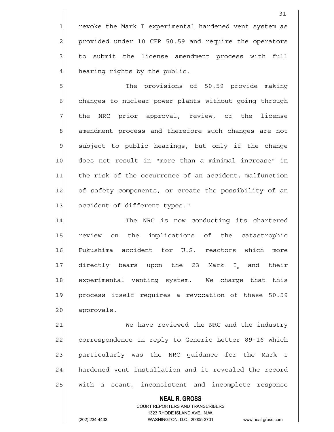1 revoke the Mark I experimental hardened vent system as 2 provided under 10 CFR 50.59 and require the operators 3 to submit the license amendment process with full 4 hearing rights by the public.

5 5 Ships The provisions of 50.59 provide making 6 6 6 changes to nuclear power plants without going through  $7$  the NRC prior approval, review, or the license 8 8 8 amendment process and therefore such changes are not 9 subject to public hearings, but only if the change 10 does not result in "more than a minimal increase" in 11 the risk of the occurrence of an accident, malfunction 12 of safety components, or create the possibility of an 13 accident of different types."

14 The NRC is now conducting its chartered 15 review on the implications of the catastrophic 16 Fukushima accident for U.S. reactors which more 17 directly bears upon the 23 Mark I and their 18 experimental venting system. We charge that this 19 process itself requires a revocation of these 50.59 20 approvals.

21 We have reviewed the NRC and the industry 22 correspondence in reply to Generic Letter 89-16 which 23 particularly was the NRC guidance for the Mark I 24 hardened vent installation and it revealed the record 25 | with a scant, inconsistent and incomplete response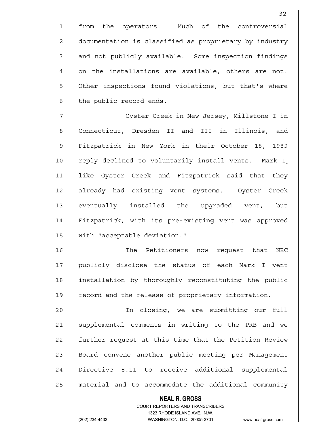1 from the operators. Much of the controversial 2 documentation is classified as proprietary by industry 3 3 and not publicly available. Some inspection findings  $4$  on the installations are available, others are not. 5 Other inspections found violations, but that's where

7 7 Oyster Creek in New Jersey, Millstone I in 8 | Connecticut, Dresden II and III in Illinois, and 9 Fitzpatrick in New York in their October 18, 1989 10 reply declined to voluntarily install vents. Mark I 11 like Oyster Creek and Fitzpatrick said that they 12 already had existing vent systems. Oyster Creek 13 eventually installed the upgraded vent, but 14 Fitzpatrick, with its pre-existing vent was approved 15 with "acceptable deviation."

 $6$  the public record ends.

16 The Petitioners now request that NRC 17 publicly disclose the status of each Mark I vent 18 installation by thoroughly reconstituting the public 19 record and the release of proprietary information.

20 | In closing, we are submitting our full 21 Supplemental comments in writing to the PRB and we 22 further request at this time that the Petition Review 23 Board convene another public meeting per Management 24 Directive 8.11 to receive additional supplemental 25 | material and to accommodate the additional community

## **NEAL R. GROSS**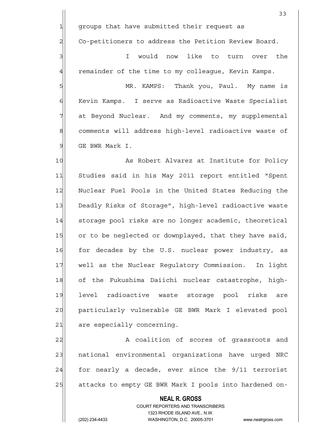33  $1$  groups that have submitted their request as 2 Co-petitioners to address the Petition Review Board. 3 3 I would now like to turn over the 4 remainder of the time to my colleague, Kevin Kamps. 5 SM MR. KAMPS: Thank you, Paul. My name is 6 Kevin Kamps. I serve as Radioactive Waste Specialist 7 at Beyond Nuclear. And my comments, my supplemental 8| comments will address high-level radioactive waste of 9 GE BWR Mark I. 10 As Robert Alvarez at Institute for Policy 11 Studies said in his May 2011 report entitled "Spent 12 Nuclear Fuel Pools in the United States Reducing the 13 Deadly Risks of Storage", high-level radioactive waste 14 storage pool risks are no longer academic, theoretical 15 or to be neglected or downplayed, that they have said, 16 for decades by the U.S. nuclear power industry, as 17 Well as the Nuclear Regulatory Commission. In light 18 of the Fukushima Daiichi nuclear catastrophe, high-19 level radioactive waste storage pool risks are 20 particularly vulnerable GE BWR Mark I elevated pool  $21$  are especially concerning.

22 A coalition of scores of grassroots and 23 | national environmental organizations have urged NRC  $24$  for nearly a decade, ever since the  $9/11$  terrorist 25 attacks to empty GE BWR Mark I pools into hardened on-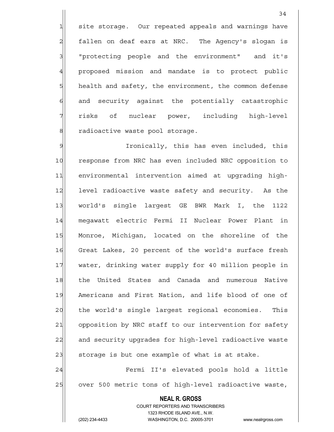1 site storage. Our repeated appeals and warnings have  $2$  fallen on deaf ears at NRC. The Agency's slogan is 3 3 "protecting people and the environment" and it's 4 proposed mission and mandate is to protect public 5 health and safety, the environment, the common defense 6 and security against the potentially catastrophic 7 risks of nuclear power, including high-level 8 8 radioactive waste pool storage.

9 Section Ironically, this has even included, this 10 response from NRC has even included NRC opposition to 11 environmental intervention aimed at upgrading high-12 level radioactive waste safety and security. As the 13 | world's single largest GE BWR Mark I, the 1122 14 megawatt electric Fermi II Nuclear Power Plant in 15 Monroe, Michigan, located on the shoreline of the 16 Great Lakes, 20 percent of the world's surface fresh 17 water, drinking water supply for 40 million people in 18 | the United States and Canada and numerous Native 19 Americans and First Nation, and life blood of one of 20 the world's single largest regional economies. This 21 opposition by NRC staff to our intervention for safety 22 and security upgrades for high-level radioactive waste  $23$  storage is but one example of what is at stake. 24 Fermi II's elevated pools hold a little

25 over 500 metric tons of high-level radioactive waste,

## **NEAL R. GROSS**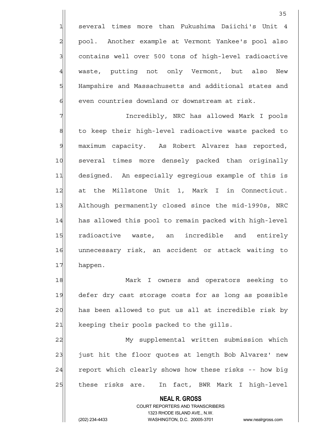1 several times more than Fukushima Daiichi's Unit 4 2 pool. Another example at Vermont Yankee's pool also 3 contains well over 500 tons of high-level radioactive 4 waste, putting not only Vermont, but also New 5 | Hampshire and Massachusetts and additional states and  $6$  even countries downland or downstream at risk.

7 Incredibly, NRC has allowed Mark I pools 8 s 8 to keep their high-level radioactive waste packed to 9 maximum capacity. As Robert Alvarez has reported, 10 several times more densely packed than originally 11 designed. An especially egregious example of this is 12 at the Millstone Unit 1, Mark I in Connecticut. 13 Although permanently closed since the mid-1990s, NRC 14 has allowed this pool to remain packed with high-level 15 radioactive waste, an incredible and entirely 16 unnecessary risk, an accident or attack waiting to 17 happen.

18 Mark I owners and operators seeking to 19 defer dry cast storage costs for as long as possible 20 has been allowed to put us all at incredible risk by 21 keeping their pools packed to the gills.

22 My supplemental written submission which 23 just hit the floor quotes at length Bob Alvarez' new  $24$  report which clearly shows how these risks -- how big 25 | these risks are. In fact, BWR Mark I high-level

## **NEAL R. GROSS**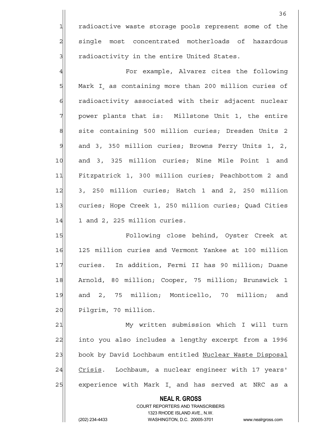1 radioactive waste storage pools represent some of the 2 single most concentrated motherloads of hazardous  $3$  radioactivity in the entire United States.

4 A For example, Alvarez cites the following 5 Mark I as containing more than 200 million curies of 6 6 radioactivity associated with their adjacent nuclear  $7$  power plants that is: Millstone Unit 1, the entire 8 site containing 500 million curies; Dresden Units 2 9 and 3, 350 million curies; Browns Ferry Units 1, 2, 10 and 3, 325 million curies; Nine Mile Point 1 and 11 Fitzpatrick 1, 300 million curies; Peachbottom 2 and 12 3, 250 million curies; Hatch 1 and 2, 250 million 13 curies; Hope Creek 1, 250 million curies; Quad Cities  $14$  1 and 2, 225 million curies.

15 **Following close behind, Oyster Creek at** 16 125 million curies and Vermont Yankee at 100 million 17 curies. In addition, Fermi II has 90 million; Duane 18 | Arnold, 80 million; Cooper, 75 million; Brunswick 1 19 and 2, 75 million; Monticello, 70 million; and 20 Pilgrim, 70 million.

21 My written submission which I will turn 22 into you also includes a lengthy excerpt from a 1996 23 book by David Lochbaum entitled Nuclear Waste Disposal 24 Crisis. Lochbaum, a nuclear engineer with 17 years' 25 experience with Mark I and has served at NRC as a

#### **NEAL R. GROSS**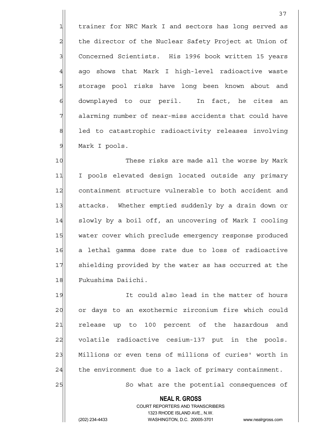1 trainer for NRC Mark I and sectors has long served as 2 the director of the Nuclear Safety Project at Union of 3 Concerned Scientists. His 1996 book written 15 years 4 ago shows that Mark I high-level radioactive waste 5 storage pool risks have long been known about and 6 downplayed to our peril. In fact, he cites an  $7$  alarming number of near-miss accidents that could have 8 8 led to catastrophic radioactivity releases involving 9 Mark I pools.

37

10 These risks are made all the worse by Mark 11 I pools elevated design located outside any primary 12 containment structure vulnerable to both accident and 13 attacks. Whether emptied suddenly by a drain down or 14 slowly by a boil off, an uncovering of Mark I cooling 15 water cover which preclude emergency response produced 16| a lethal gamma dose rate due to loss of radioactive 17 shielding provided by the water as has occurred at the 18 Fukushima Daiichi.

19 It could also lead in the matter of hours 20 or days to an exothermic zirconium fire which could 21 release up to 100 percent of the hazardous and 22 volatile radioactive cesium-137 put in the pools. 23 Millions or even tens of millions of curies' worth in  $24$  the environment due to a lack of primary containment.

25 So what are the potential consequences of

 COURT REPORTERS AND TRANSCRIBERS 1323 RHODE ISLAND AVE., N.W. (202) 234-4433 WASHINGTON, D.C. 20005-3701 www.nealrgross.com

 **NEAL R. GROSS**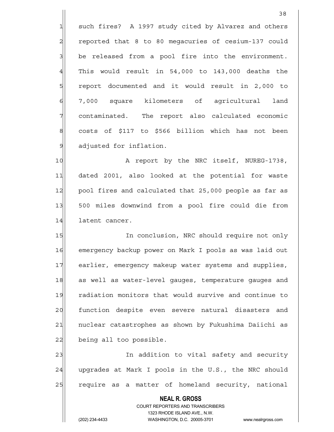1 such fires? A 1997 study cited by Alvarez and others 2| reported that 8 to 80 megacuries of cesium-137 could  $3$  be released from a pool fire into the environment.  $4$  This would result in 54,000 to 143,000 deaths the 5 5 5 5 report documented and it would result in 2,000 to 6 7,000 square kilometers of agricultural land  $7$  contaminated. The report also calculated economic 8 costs of \$117 to \$566 billion which has not been 9 adjusted for inflation.

10 A report by the NRC itself, NUREG-1738, 11| dated 2001, also looked at the potential for waste 12 pool fires and calculated that 25,000 people as far as 13 500 miles downwind from a pool fire could die from 14 latent cancer.

15 In conclusion, NRC should require not only 16 emergency backup power on Mark I pools as was laid out 17 earlier, emergency makeup water systems and supplies, 18 as well as water-level gauges, temperature gauges and 19 radiation monitors that would survive and continue to 20 function despite even severe natural disasters and 21 | nuclear catastrophes as shown by Fukushima Daiichi as 22 being all too possible.

23 and the same contract in addition to vital safety and security 24 upgrades at Mark I pools in the U.S., the NRC should 25 require as a matter of homeland security, national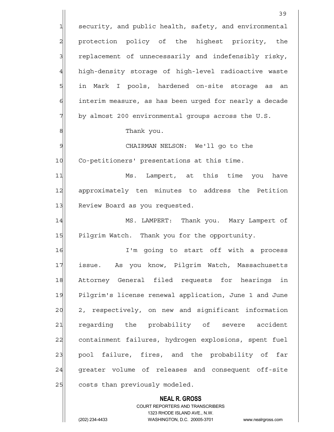**NEAL R. GROSS** COURT REPORTERS AND TRANSCRIBERS 39 1 security, and public health, safety, and environmental 2 protection policy of the highest priority, the 3 replacement of unnecessarily and indefensibly risky, 4 high-density storage of high-level radioactive waste 5 | in Mark I pools, hardened on-site storage as an 6 interim measure, as has been urged for nearly a decade  $7$  by almost 200 environmental groups across the U.S. 8 | Thank you. 9 | CHAIRMAN NELSON: We'll go to the 10 Co-petitioners' presentations at this time. 11 Ms. Lampert, at this time you have 12 approximately ten minutes to address the Petition 13 Review Board as you requested. 14 MS. LAMPERT: Thank you. Mary Lampert of 15 Pilgrim Watch. Thank you for the opportunity. 16| T'm going to start off with a process 17 issue. As you know, Pilgrim Watch, Massachusetts 18 Attorney General filed requests for hearings in 19 Pilgrim's license renewal application, June 1 and June 20 2, respectively, on new and significant information 21 regarding the probability of severe accident 22 containment failures, hydrogen explosions, spent fuel 23 pool failure, fires, and the probability of far 24 greater volume of releases and consequent off-site  $25$  costs than previously modeled.

1323 RHODE ISLAND AVE., N.W.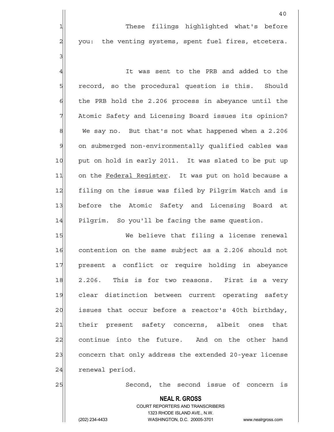1 1 These filings highlighted what's before 2 you: the venting systems, spent fuel fires, etcetera.

40

4 all the Sent to the PRB and added to the 5 5 5 5 5 record, so the procedural question is this. Should  $6$  the PRB hold the 2.206 process in abeyance until the 7 Atomic Safety and Licensing Board issues its opinion? 8 8 We say no. But that's not what happened when a 2.206 9 on submerged non-environmentally qualified cables was 10 put on hold in early 2011. It was slated to be put up 11 on the Federal Register. It was put on hold because a 12 filing on the issue was filed by Pilgrim Watch and is 13 before the Atomic Safety and Licensing Board at 14 Pilgrim. So you'll be facing the same question.

15 We believe that filing a license renewal 16 contention on the same subject as a 2.206 should not 17 present a conflict or require holding in abeyance 18 2.206. This is for two reasons. First is a very 19 clear distinction between current operating safety  $20$  issues that occur before a reactor's 40th birthday, 21 their present safety concerns, albeit ones that 22 continue into the future. And on the other hand 23 concern that only address the extended 20-year license 24 renewal period.

25 Second, the second issue of concern is

# **NEAL R. GROSS**

 COURT REPORTERS AND TRANSCRIBERS 1323 RHODE ISLAND AVE., N.W. (202) 234-4433 WASHINGTON, D.C. 20005-3701 www.nealrgross.com

3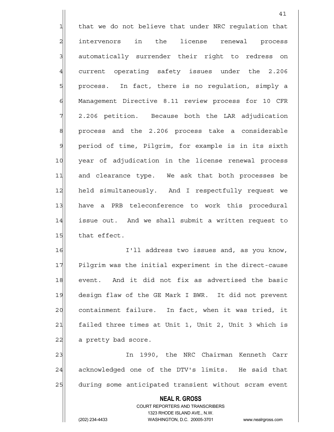$1$  that we do not believe that under NRC requlation that 2 intervenors in the license renewal process 3 automatically surrender their right to redress on 4 current operating safety issues under the 2.206 5 5 5 process. In fact, there is no requlation, simply a 6 Management Directive 8.11 review process for 10 CFR  $7$  2.206 petition. Because both the LAR adjudication 8 8 8 process and the 2.206 process take a considerable 9 period of time, Pilgrim, for example is in its sixth 10 year of adjudication in the license renewal process 11 and clearance type. We ask that both processes be 12 held simultaneously. And I respectfully request we 13 have a PRB teleconference to work this procedural 14 issue out. And we shall submit a written request to  $15$  that effect. 16 I'll address two issues and, as you know, 17 Pilgrim was the initial experiment in the direct-cause

41

18 event. And it did not fix as advertised the basic 19 design flaw of the GE Mark I BWR. It did not prevent 20 containment failure. In fact, when it was tried, it 21| failed three times at Unit 1, Unit 2, Unit 3 which is 22 a pretty bad score.

23 In 1990, the NRC Chairman Kenneth Carr 24 | acknowledged one of the DTV's limits. He said that 25 during some anticipated transient without scram event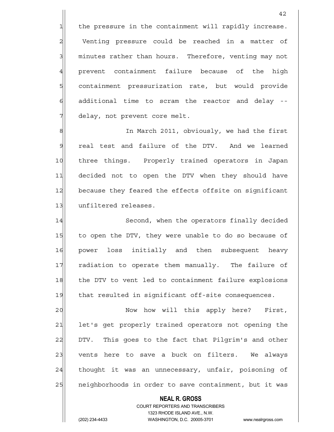$1$  the pressure in the containment will rapidly increase. 2 Venting pressure could be reached in a matter of 3 minutes rather than hours. Therefore, venting may not 4 prevent containment failure because of the high 5 squilies containment pressurization rate, but would provide  $6$  additional time to scram the reactor and delay  $7$  delay, not prevent core melt.

8 8 In March 2011, obviously, we had the first 9 real test and failure of the DTV. And we learned 10 three things. Properly trained operators in Japan 11 decided not to open the DTV when they should have 12 because they feared the effects offsite on significant 13 unfiltered releases.

14 Second, when the operators finally decided 15 to open the DTV, they were unable to do so because of 16 power loss initially and then subsequent heavy 17 radiation to operate them manually. The failure of 18 the DTV to vent led to containment failure explosions 19 that resulted in significant off-site consequences.

20 | Now how will this apply here? First, 21 let's get properly trained operators not opening the 22 DTV. This goes to the fact that Pilgrim's and other 23 vents here to save a buck on filters. We always 24 thought it was an unnecessary, unfair, poisoning of 25 | neighborhoods in order to save containment, but it was

#### **NEAL R. GROSS**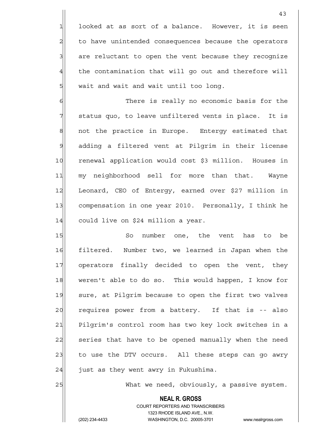$1$  looked at as sort of a balance. However, it is seen 2 to have unintended consequences because the operators 3 are reluctant to open the vent because they recognize 4 the contamination that will go out and therefore will  $\frac{1}{2}$  wait and wait and wait until too long.

6 6 There is really no economic basis for the  $7$  status quo, to leave unfiltered vents in place. It is 8 8 8 not the practice in Europe. Entergy estimated that 9 adding a filtered vent at Pilgrim in their license 10 renewal application would cost \$3 million. Houses in 11 my neighborhood sell for more than that. Wayne 12 Leonard, CEO of Entergy, earned over \$27 million in 13 compensation in one year 2010. Personally, I think he 14 could live on \$24 million a year.

15 So number one, the vent has to be 16 filtered. Number two, we learned in Japan when the 17 operators finally decided to open the vent, they 18 weren't able to do so. This would happen, I know for 19| sure, at Pilgrim because to open the first two valves 20 requires power from a battery. If that is -- also 21 Pilgrim's control room has two key lock switches in a 22 series that have to be opened manually when the need 23 to use the DTV occurs. All these steps can go awry  $24$  just as they went awry in Fukushima.

25 What we need, obviously, a passive system.

 **NEAL R. GROSS** COURT REPORTERS AND TRANSCRIBERS 1323 RHODE ISLAND AVE., N.W.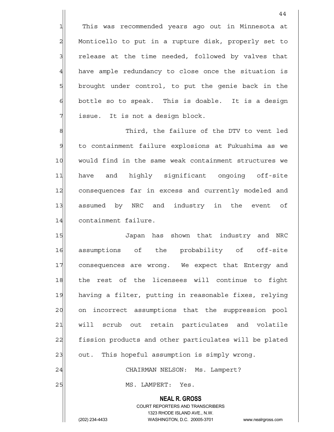1 This was recommended years ago out in Minnesota at 2 Monticello to put in a rupture disk, properly set to  $3$  release at the time needed, followed by valves that 4 have ample redundancy to close once the situation is 5 brought under control, to put the genie back in the  $6$  bottle so to speak. This is doable. It is a design  $7$  issue. It is not a design block.

8 8 Note that Third, the failure of the DTV to vent led 9 to containment failure explosions at Fukushima as we 10 would find in the same weak containment structures we 11 have and highly significant ongoing off-site 12 consequences far in excess and currently modeled and 13 assumed by NRC and industry in the event of 14 containment failure.

15 **Japan has shown that industry and NRC** 16 assumptions of the probability of off-site 17 consequences are wrong. We expect that Entergy and 18 the rest of the licensees will continue to fight 19 having a filter, putting in reasonable fixes, relying 20 on incorrect assumptions that the suppression pool 21 vill scrub out retain particulates and volatile 22 fission products and other particulates will be plated  $23$  out. This hopeful assumption is simply wrong. 24 CHAIRMAN NELSON: Ms. Lampert?

25 | MS. LAMPERT: Yes.

# **NEAL R. GROSS**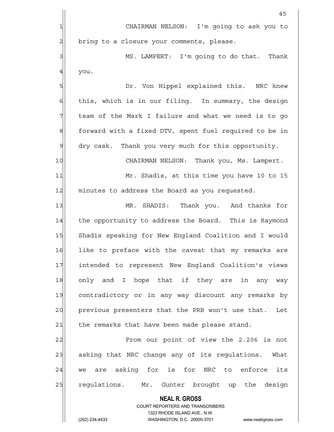|                | 45                                                                                                  |
|----------------|-----------------------------------------------------------------------------------------------------|
| 1              | CHAIRMAN NELSON: I'm going to ask you to                                                            |
| $\overline{c}$ | bring to a closure your comments, please.                                                           |
| 3              | MS. LAMPERT: I'm going to do that. Thank                                                            |
| 4              | you.                                                                                                |
| 5              | Dr. Von Hippel explained this. NRC knew                                                             |
| $\epsilon$     | this, which is in our filing. In summary, the design                                                |
| 7              | team of the Mark I failure and what we need is to go                                                |
| 8              | forward with a fixed DTV, spent fuel required to be in                                              |
| $\mathsf{D}$   | dry cask. Thank you very much for this opportunity.                                                 |
| 10             | CHAIRMAN NELSON: Thank you, Ms. Lampert.                                                            |
| 11             | Mr. Shadis, at this time you have 10 to 15                                                          |
| 12             | minutes to address the Board as you requested.                                                      |
| 13             | MR. SHADIS: Thank you. And thanks for                                                               |
| 14             | the opportunity to address the Board. This is Raymond                                               |
| 15             | Shadis speaking for New England Coalition and I would                                               |
| 16             | like to preface with the caveat that my remarks are                                                 |
| 17             | intended to represent New England Coalition's views                                                 |
| 18             | only and I hope that if they are in any way                                                         |
| 19             | contradictory or in any way discount any remarks by                                                 |
| 20             | previous presenters that the PRB won't use that.<br>Let                                             |
| 21             | the remarks that have been made please stand.                                                       |
| 22             | From our point of view the 2.206 is not                                                             |
| 23             | asking that NRC change any of its regulations. What                                                 |
| 24             | we are asking for is for NRC to enforce<br>its                                                      |
| 25             | regulations. Mr. Gunter brought up the design                                                       |
|                | <b>NEAL R. GROSS</b>                                                                                |
|                | COURT REPORTERS AND TRANSCRIBERS                                                                    |
|                | 1323 RHODE ISLAND AVE., N.W.<br>(202) 234-4433<br>WASHINGTON, D.C. 20005-3701<br>www.nealrgross.com |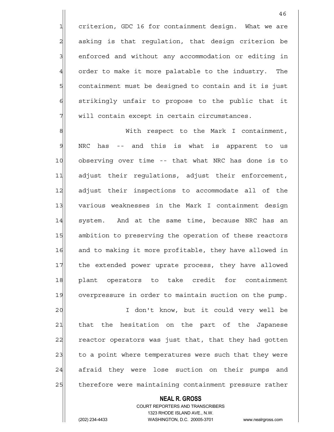1 criterion, GDC 16 for containment design. What we are 2 asking is that regulation, that design criterion be 3 3 enforced and without any accommodation or editing in 4 order to make it more palatable to the industry. The  $5$  containment must be designed to contain and it is just 6 strikingly unfair to propose to the public that it  $7$  will contain except in certain circumstances.

8 8 Mith respect to the Mark I containment, 9 NRC has -- and this is what is apparent to us 10 observing over time -- that what NRC has done is to 11 adjust their regulations, adjust their enforcement, 12 adjust their inspections to accommodate all of the 13 various weaknesses in the Mark I containment design 14 system. And at the same time, because NRC has an 15 ambition to preserving the operation of these reactors 16 and to making it more profitable, they have allowed in 17 the extended power uprate process, they have allowed 18 plant operators to take credit for containment 19 overpressure in order to maintain suction on the pump.

20 | I don't know, but it could very well be 21 | that the hesitation on the part of the Japanese 22 reactor operators was just that, that they had gotten 23 to a point where temperatures were such that they were 24 afraid they were lose suction on their pumps and 25 therefore were maintaining containment pressure rather

#### **NEAL R. GROSS**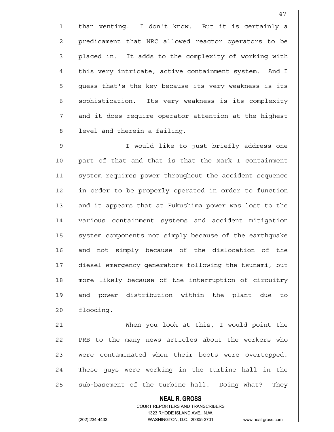1| than venting. I don't know. But it is certainly a 2 predicament that NRC allowed reactor operators to be 3 3 placed in. It adds to the complexity of working with 4 this very intricate, active containment system. And I  $5$  quess that's the key because its very weakness is its 6 sophistication. Its very weakness is its complexity  $7$  and it does require operator attention at the highest 8 8 level and therein a failing.

9 Section 1 I would like to just briefly address one 10 part of that and that is that the Mark I containment 11 system requires power throughout the accident sequence 12 in order to be properly operated in order to function 13 and it appears that at Fukushima power was lost to the 14 various containment systems and accident mitigation 15 system components not simply because of the earthquake 16 and not simply because of the dislocation of the 17 diesel emergency generators following the tsunami, but 18 more likely because of the interruption of circuitry 19 and power distribution within the plant due to 20 flooding.

21 When you look at this, I would point the 22 PRB to the many news articles about the workers who 23 were contaminated when their boots were overtopped. 24 These quys were working in the turbine hall in the 25 Sub-basement of the turbine hall. Doing what? They

### **NEAL R. GROSS** COURT REPORTERS AND TRANSCRIBERS 1323 RHODE ISLAND AVE., N.W.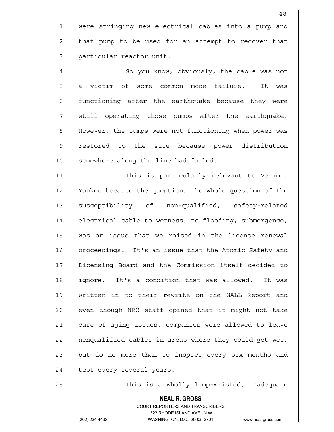1 were stringing new electrical cables into a pump and  $2$  that pump to be used for an attempt to recover that 3 | particular reactor unit.

4 A So you know, obviously, the cable was not 5 s a victim of some common mode failure. It was 6 functioning after the earthquake because they were  $7$  still operating those pumps after the earthquake. 8 BM However, the pumps were not functioning when power was 9 restored to the site because power distribution 10 somewhere along the line had failed.

11 This is particularly relevant to Vermont 12 Yankee because the question, the whole question of the 13 susceptibility of non-qualified, safety-related 14 electrical cable to wetness, to flooding, submergence, 15 was an issue that we raised in the license renewal 16 | proceedings. It's an issue that the Atomic Safety and 17 Licensing Board and the Commission itself decided to 18 | ignore. It's a condition that was allowed. It was 19 written in to their rewrite on the GALL Report and 20 even though NRC staff opined that it might not take 21 care of aging issues, companies were allowed to leave 22 | nonqualified cables in areas where they could get wet, 23 but do no more than to inspect every six months and 24 test every several years.

25 and 25 This is a wholly limp-wristed, inadequate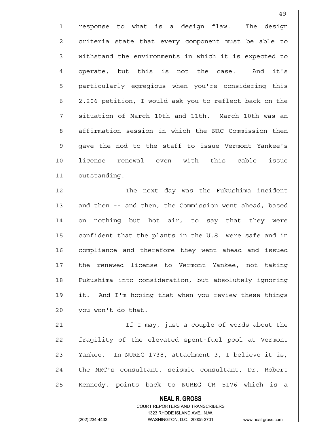$1$  response to what is a design flaw. The design 2 criteria state that every component must be able to 3 withstand the environments in which it is expected to 4 operate, but this is not the case. And it's 5 5 particularly eqreqious when you're considering this  $6$  2.206 petition, I would ask you to reflect back on the  $7$  situation of March 10th and 11th. March 10th was an 8 affirmation session in which the NRC Commission then 9 gave the nod to the staff to issue Vermont Yankee's 10 license renewal even with this cable issue 11 outstanding.

49

12 The next day was the Fukushima incident 13 and then -- and then, the Commission went ahead, based 14 on nothing but hot air, to say that they were 15 confident that the plants in the U.S. were safe and in 16 compliance and therefore they went ahead and issued 17 the renewed license to Vermont Yankee, not taking 18 Fukushima into consideration, but absolutely ignoring 19 it. And I'm hoping that when you review these things  $20$  you won't do that.

21 If I may, just a couple of words about the 22 fragility of the elevated spent-fuel pool at Vermont 23 Yankee. In NUREG 1738, attachment 3, I believe it is, 24 the NRC's consultant, seismic consultant, Dr. Robert 25 | Kennedy, points back to NUREG CR 5176 which is a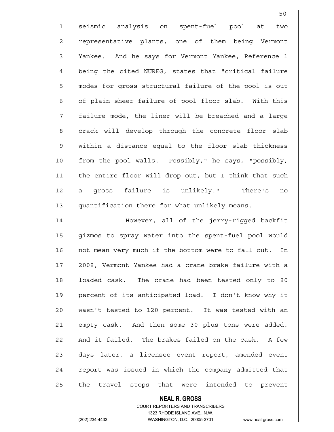1 seismic analysis on spent-fuel pool at two 2 representative plants, one of them being Vermont 3 Yankee. And he says for Vermont Yankee, Reference 1 4 being the cited NUREG, states that "critical failure 5 modes for gross structural failure of the pool is out 6 of plain sheer failure of pool floor slab. With this  $7$  failure mode, the liner will be breached and a large 8 8 8 crack will develop through the concrete floor slab 9 within a distance equal to the floor slab thickness 10 from the pool walls. Possibly," he says, "possibly, 11| the entire floor will drop out, but I think that such 12 a gross failure is unlikely." There's no 13 quantification there for what unlikely means. 14 However, all of the jerry-rigged backfit

50

15 | gizmos to spray water into the spent-fuel pool would 16 not mean very much if the bottom were to fall out. In 17 2008, Vermont Yankee had a crane brake failure with a 18 loaded cask. The crane had been tested only to 80 19 percent of its anticipated load. I don't know why it 20 wasn't tested to 120 percent. It was tested with an 21| empty cask. And then some 30 plus tons were added. 22 And it failed. The brakes failed on the cask. A few 23 days later, a licensee event report, amended event 24 report was issued in which the company admitted that 25 the travel stops that were intended to prevent

# **NEAL R. GROSS**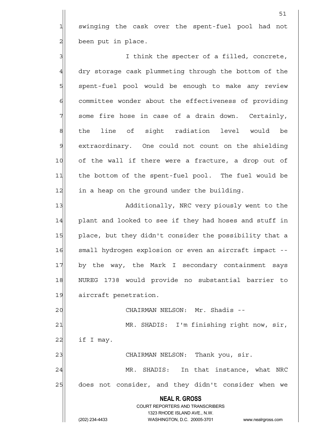1 swinging the cask over the spent-fuel pool had not  $2$  been put in place.

3 3 I think the specter of a filled, concrete, 4 dry storage cask plummeting through the bottom of the 5 spent-fuel pool would be enough to make any review 6 6 committee wonder about the effectiveness of providing  $7$  some fire hose in case of a drain down. Certainly, 8 | the line of sight radiation level would be 9 extraordinary. One could not count on the shielding 10 of the wall if there were a fracture, a drop out of 11 the bottom of the spent-fuel pool. The fuel would be 12 in a heap on the ground under the building.

13 Additionally, NRC very piously went to the 14 plant and looked to see if they had hoses and stuff in 15 place, but they didn't consider the possibility that a 16 small hydrogen explosion or even an aircraft impact --17 by the way, the Mark I secondary containment says 18 NUREG 1738 would provide no substantial barrier to 19 aircraft penetration.

20 | CHAIRMAN NELSON: Mr. Shadis --

21 MR. SHADIS: I'm finishing right now, sir,  $22$  if I may.

23 CHAIRMAN NELSON: Thank you, sir.

24 MR. SHADIS: In that instance, what NRC 25 does not consider, and they didn't consider when we

# **NEAL R. GROSS** COURT REPORTERS AND TRANSCRIBERS 1323 RHODE ISLAND AVE., N.W.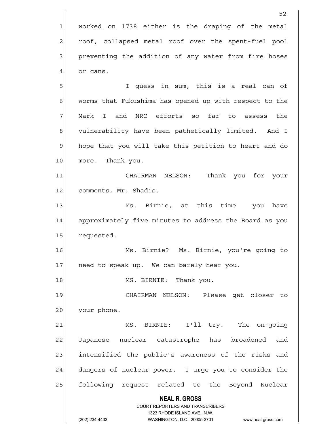**NEAL R. GROSS** COURT REPORTERS AND TRANSCRIBERS  $52$  $1$  worked on 1738 either is the draping of the metal 2 roof, collapsed metal roof over the spent-fuel pool 3 3 preventing the addition of any water from fire hoses  $4$  or cans. 5|| Solution I guess in sum, this is a real can of 6 worms that Fukushima has opened up with respect to the 7 Mark I and NRC efforts so far to assess the 8 8 vulnerability have been pathetically limited. And I 9 hope that you will take this petition to heart and do 10 more. Thank you. 11 CHAIRMAN NELSON: Thank you for your 12| comments, Mr. Shadis. 13 Ms. Birnie, at this time you have 14 approximately five minutes to address the Board as you 15 requested. 16 Ms. Birnie? Ms. Birnie, you're going to 17 need to speak up. We can barely hear you. 18 MS. BIRNIE: Thank you. 19 CHAIRMAN NELSON: Please get closer to 20 your phone. 21 MS. BIRNIE: I'll try. The on-qoing 22 Japanese nuclear catastrophe has broadened and 23 intensified the public's awareness of the risks and 24 dangers of nuclear power. I urge you to consider the 25 | following request related to the Beyond Nuclear

1323 RHODE ISLAND AVE., N.W.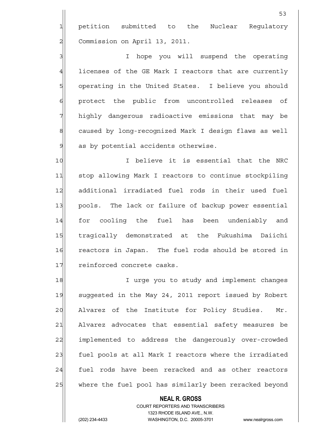1 petition submitted to the Nuclear Regulatory 2 Commission on April 13, 2011.

3 3 I hope you will suspend the operating 4 licenses of the GE Mark I reactors that are currently 5 | operating in the United States. I believe you should 6 6 protect the public from uncontrolled releases of 7 highly dangerous radioactive emissions that may be 8 8 8 caused by long-recognized Mark I design flaws as well  $9$  as by potential accidents otherwise.

10 I believe it is essential that the NRC 11 stop allowing Mark I reactors to continue stockpiling 12 additional irradiated fuel rods in their used fuel 13 pools. The lack or failure of backup power essential 14 for cooling the fuel has been undeniably and 15 | tragically demonstrated at the Fukushima Daiichi 16 reactors in Japan. The fuel rods should be stored in 17 reinforced concrete casks.

18 I urge you to study and implement changes 19 suggested in the May 24, 2011 report issued by Robert  $20$  Alvarez of the Institute for Policy Studies. Mr. 21 Alvarez advocates that essential safety measures be 22 implemented to address the dangerously over-crowded 23 fuel pools at all Mark I reactors where the irradiated 24 fuel rods have been reracked and as other reactors 25 where the fuel pool has similarly been reracked beyond

#### **NEAL R. GROSS**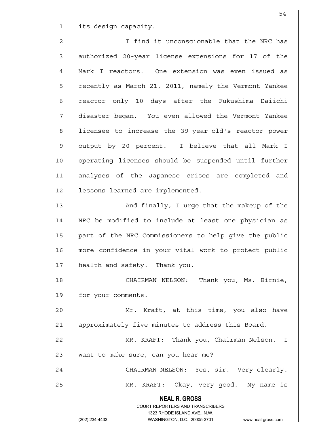1 its design capacity.

2 2 I find it unconscionable that the NRC has  $3$  authorized 20-year license extensions for 17 of the 4 Mark I reactors. One extension was even issued as 5 5 5 Fecently as March 21, 2011, namely the Vermont Yankee 6 reactor only 10 days after the Fukushima Daiichi 7 disaster began. You even allowed the Vermont Yankee 8 8 licensee to increase the 39-year-old's reactor power 9 output by 20 percent. I believe that all Mark I 10 operating licenses should be suspended until further 11 analyses of the Japanese crises are completed and 12 lessons learned are implemented. 13 And finally, I urge that the makeup of the

14 | NRC be modified to include at least one physician as 15 | part of the NRC Commissioners to help give the public 16 more confidence in your vital work to protect public 17 health and safety. Thank you.

18 | CHAIRMAN NELSON: Thank you, Ms. Birnie, 19 for your comments.

20 Mr. Kraft, at this time, you also have 21 approximately five minutes to address this Board.

22 MR. KRAFT: Thank you, Chairman Nelson. I 23 want to make sure, can you hear me? 24 CHAIRMAN NELSON: Yes, sir. Very clearly.

25 MR. KRAFT: Okay, very good. My name is

 **NEAL R. GROSS**

 COURT REPORTERS AND TRANSCRIBERS 1323 RHODE ISLAND AVE., N.W. (202) 234-4433 WASHINGTON, D.C. 20005-3701 www.nealrgross.com

54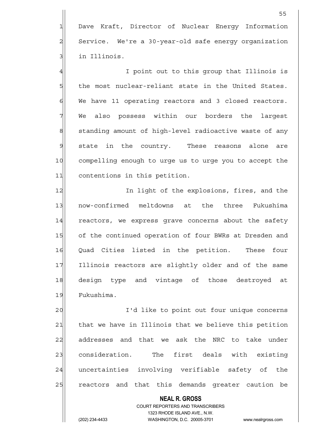1 Dave Kraft, Director of Nuclear Energy Information  $2$  Service. We're a 30-year-old safe energy organization 3 in Illinois.

4 all the sound of the state of the state of the state of the state of the state of the state of the state of t  $5$  the most nuclear-reliant state in the United States. 6 We have 11 operating reactors and 3 closed reactors. 7 We also possess within our borders the largest 8 8 8 standing amount of high-level radioactive waste of any 9 state in the country. These reasons alone are 10 compelling enough to urge us to urge you to accept the 11 contentions in this petition.

12 In light of the explosions, fires, and the 13 now-confirmed meltdowns at the three Fukushima 14 reactors, we express grave concerns about the safety 15 of the continued operation of four BWRs at Dresden and 16 Quad Cities listed in the petition. These four 17 Illinois reactors are slightly older and of the same 18|| design type and vintage of those destroyed at 19 Fukushima.

20 | I'd like to point out four unique concerns 21 that we have in Illinois that we believe this petition 22 addresses and that we ask the NRC to take under 23 consideration. The first deals with existing 24 uncertainties involving verifiable safety of the 25 reactors and that this demands greater caution be

 COURT REPORTERS AND TRANSCRIBERS 1323 RHODE ISLAND AVE., N.W. (202) 234-4433 WASHINGTON, D.C. 20005-3701 www.nealrgross.com

 **NEAL R. GROSS**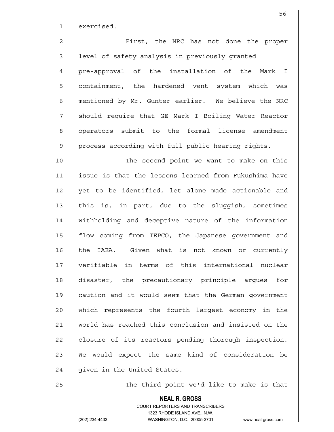1 exercised.

2 Pirst, the NRC has not done the proper 3 1 level of safety analysis in previously granted 4 pre-approval of the installation of the Mark I 5 s containment, the hardened vent system which was 6 6 mentioned by Mr. Gunter earlier. We believe the NRC 7 should require that GE Mark I Boiling Water Reactor 8| operators submit to the formal license amendment 9 process according with full public hearing rights.

10 The second point we want to make on this 11 issue is that the lessons learned from Fukushima have 12 yet to be identified, let alone made actionable and 13 this is, in part, due to the sluggish, sometimes 14 withholding and deceptive nature of the information 15 flow coming from TEPCO, the Japanese government and 16 the IAEA. Given what is not known or currently 17 verifiable in terms of this international nuclear 18 disaster, the precautionary principle argues for 19 caution and it would seem that the German government 20 which represents the fourth largest economy in the 21 world has reached this conclusion and insisted on the 22 closure of its reactors pending thorough inspection. 23 We would expect the same kind of consideration be  $24$  qiven in the United States.

25 The third point we'd like to make is that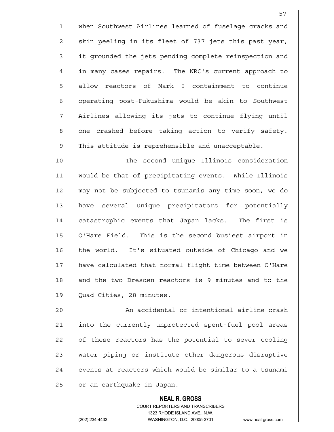1 when Southwest Airlines learned of fuselage cracks and 2 skin peeling in its fleet of 737 jets this past year, 3 3 it grounded the jets pending complete reinspection and 4 in many cases repairs. The NRC's current approach to 5| allow reactors of Mark I containment to continue 6 operating post-Fukushima would be akin to Southwest  $7$  Airlines allowing its jets to continue flying until 8 one crashed before taking action to verify safety.  $9$  This attitude is reprehensible and unacceptable.

10 The second unique Illinois consideration 11 would be that of precipitating events. While Illinois 12 may not be subjected to tsunamis any time soon, we do 13 have several unique precipitators for potentially 14 catastrophic events that Japan lacks. The first is 15 O'Hare Field. This is the second busiest airport in 16 the world. It's situated outside of Chicago and we 17 have calculated that normal flight time between O'Hare 18 and the two Dresden reactors is 9 minutes and to the 19 Quad Cities, 28 minutes.

20 | An accidental or intentional airline crash 21 into the currently unprotected spent-fuel pool areas 22 of these reactors has the potential to sever cooling 23 water piping or institute other dangerous disruptive  $24$  events at reactors which would be similar to a tsunami 25 or an earthquake in Japan.

#### **NEAL R. GROSS** COURT REPORTERS AND TRANSCRIBERS

 1323 RHODE ISLAND AVE., N.W. (202) 234-4433 WASHINGTON, D.C. 20005-3701 www.nealrgross.com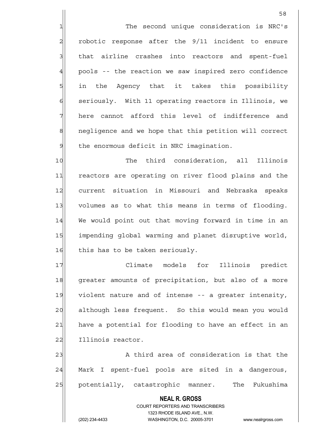1 The second unique consideration is NRC's  $2$  robotic response after the  $9/11$  incident to ensure 3 interpretional metabors into reactors and spent-fuel  $4$  pools -- the reaction we saw inspired zero confidence 5 5 5 5 in the Agency that it takes this possibility 6 seriously. With 11 operating reactors in Illinois, we  $7$  here cannot afford this level of indifference and 8 8 8 negligence and we hope that this petition will correct  $9$  the enormous deficit in NRC imagination.

10 The third consideration, all Illinois 11 reactors are operating on river flood plains and the 12 current situation in Missouri and Nebraska speaks 13 volumes as to what this means in terms of flooding. 14 We would point out that moving forward in time in an 15 impending global warming and planet disruptive world, 16 this has to be taken seriously.

17 Reserve Climate models for Illinois predict 18 greater amounts of precipitation, but also of a more 19 violent nature and of intense -- a greater intensity, 20 although less frequent. So this would mean you would 21 have a potential for flooding to have an effect in an 22 Illinois reactor.

23 A third area of consideration is that the 24 Mark I spent-fuel pools are sited in a dangerous, 25 potentially, catastrophic manner. The Fukushima

# **NEAL R. GROSS**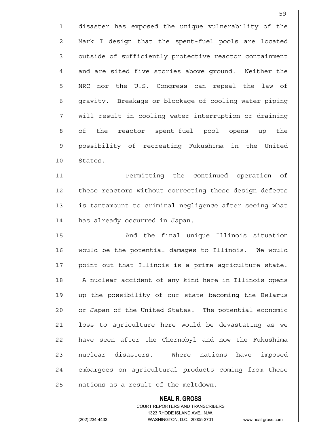1 disaster has exposed the unique vulnerability of the 2 Mark I design that the spent-fuel pools are located 3 outside of sufficiently protective reactor containment 4 and are sited five stories above ground. Neither the 5 SINRC nor the U.S. Congress can repeal the law of 6 6 6 6 6 gravity. Breakage or blockage of cooling water piping  $7$  will result in cooling water interruption or draining 8 8 8 8 of the reactor spent-fuel pool opens up the 9 possibility of recreating Fukushima in the United 10 States.

59

11 Permitting the continued operation of 12 these reactors without correcting these design defects 13 is tantamount to criminal negligence after seeing what 14 has already occurred in Japan.

15 And the final unique Illinois situation 16 | would be the potential damages to Illinois. We would 17 point out that Illinois is a prime agriculture state. 18 A nuclear accident of any kind here in Illinois opens 19 up the possibility of our state becoming the Belarus 20 or Japan of the United States. The potential economic 21 loss to agriculture here would be devastating as we 22 have seen after the Chernobyl and now the Fukushima 23 nuclear disasters. Where nations have imposed 24 embargoes on agricultural products coming from these 25 and actions as a result of the meltdown.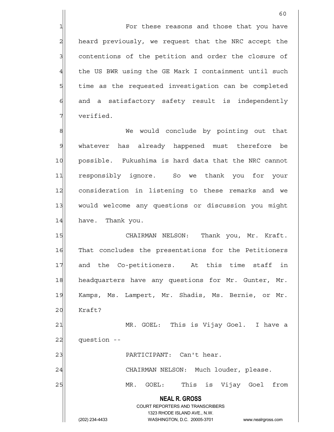1 The state of these reasons and those that you have 2 heard previously, we request that the NRC accept the 3 contentions of the petition and order the closure of 4 the US BWR using the GE Mark I containment until such 5 5 5 5 time as the requested investigation can be completed 6 and a satisfactory safety result is independently 7 verified.

8 8 Me would conclude by pointing out that 9 whatever has already happened must therefore be 10 possible. Fukushima is hard data that the NRC cannot 11 responsibly ignore. So we thank you for your 12 consideration in listening to these remarks and we 13 would welcome any questions or discussion you might 14 have. Thank you.

15 | CHAIRMAN NELSON: Thank you, Mr. Kraft. 16 That concludes the presentations for the Petitioners 17 and the Co-petitioners. At this time staff in 18 headquarters have any questions for Mr. Gunter, Mr. 19 Kamps, Ms. Lampert, Mr. Shadis, Ms. Bernie, or Mr. 20 Kraft? 21 MR. GOEL: This is Vijay Goel. I have a

 $22$   $\mid$  question  $-$ 

23 | PARTICIPANT: Can't hear.

24 CHAIRMAN NELSON: Much louder, please.

25 MR. GOEL: This is Vijay Goel from

 **NEAL R. GROSS** COURT REPORTERS AND TRANSCRIBERS

1323 RHODE ISLAND AVE., N.W.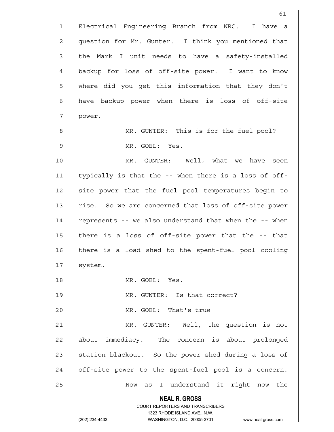**NEAL R. GROSS** COURT REPORTERS AND TRANSCRIBERS 1323 RHODE ISLAND AVE., N.W. (202) 234-4433 WASHINGTON, D.C. 20005-3701 www.nealrgross.com 61 1 Electrical Engineering Branch from NRC. I have a 2 question for Mr. Gunter. I think you mentioned that 3 the Mark I unit needs to have a safety-installed 4 backup for loss of off-site power. I want to know 5 SW where did you get this information that they don't  $6$  have backup power when there is loss of off-site 7 power. 8 MR. GUNTER: This is for the fuel pool? 9 MR. GOEL: Yes. 10 MR. GUNTER: Well, what we have seen 11 typically is that the -- when there is a loss of off-12 site power that the fuel pool temperatures begin to 13| rise. So we are concerned that loss of off-site power 14 represents -- we also understand that when the -- when 15 there is a loss of off-site power that the -- that 16 there is a load shed to the spent-fuel pool cooling 17 system. 18 MR. GOEL: Yes. 19 MR. GUNTER: Is that correct? 20 | MR. GOEL: That's true 21| MR. GUNTER: Well, the question is not 22 about immediacy. The concern is about prolonged 23 station blackout. So the power shed during a loss of  $24$  off-site power to the spent-fuel pool is a concern. 25 | Now as I understand it right now the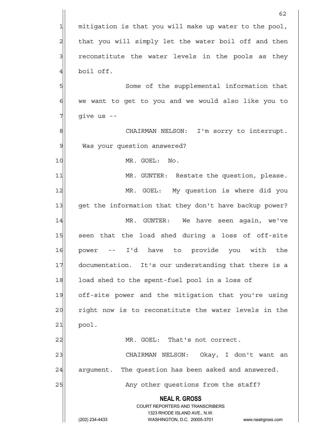|                | 62                                                                  |
|----------------|---------------------------------------------------------------------|
| 1              | mitigation is that you will make up water to the pool,              |
| $\overline{c}$ | that you will simply let the water boil off and then                |
| 3              | reconstitute the water levels in the pools as they                  |
| $\overline{4}$ | boil off.                                                           |
| 5              | Some of the supplemental information that                           |
| 6              | we want to get to you and we would also like you to                 |
| 7              | give us --                                                          |
| 8              | CHAIRMAN NELSON: I'm sorry to interrupt.                            |
| $\mathcal{G}$  | Was your question answered?                                         |
| 10             | MR. GOEL: No.                                                       |
| 11             | MR. GUNTER: Restate the question, please.                           |
| 12             | MR. GOEL: My question is where did you                              |
| 13             | get the information that they don't have backup power?              |
| 14             | MR. GUNTER:<br>We have seen again, we've                            |
| 15             | seen that the load shed during a loss of off-site                   |
| 16             | -- I'd have to provide you with the<br>power                        |
| 17             | documentation. It's our understanding that there is a               |
| 18             | load shed to the spent-fuel pool in a loss of                       |
| 19             | off-site power and the mitigation that you're using                 |
| 20             | right now is to reconstitute the water levels in the                |
| 21             | pool.                                                               |
| 22             | MR. GOEL: That's not correct.                                       |
| 23             | CHAIRMAN NELSON: Okay, I don't want an                              |
| 24             | argument. The question has been asked and answered.                 |
| 25             | Any other questions from the staff?                                 |
|                | <b>NEAL R. GROSS</b><br><b>COURT REPORTERS AND TRANSCRIBERS</b>     |
|                | 1323 RHODE ISLAND AVE., N.W.                                        |
|                | (202) 234-4433<br>WASHINGTON, D.C. 20005-3701<br>www.nealrgross.com |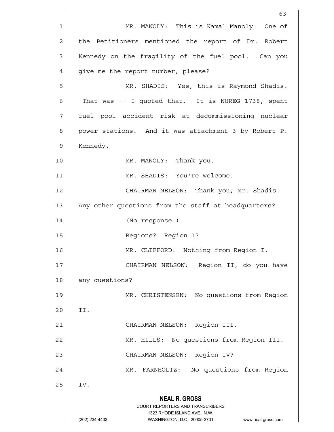|                | 63                                                                  |
|----------------|---------------------------------------------------------------------|
| 1              | MR. MANOLY: This is Kamal Manoly. One of                            |
| $\overline{c}$ | the Petitioners mentioned the report of Dr. Robert                  |
| 3              | Kennedy on the fragility of the fuel pool. Can you                  |
| 4              | give me the report number, please?                                  |
| 5              | MR. SHADIS: Yes, this is Raymond Shadis.                            |
| 6              | That was -- I quoted that. It is NUREG 1738, spent                  |
| 7              | fuel pool accident risk at decommissioning nuclear                  |
| 8              | power stations. And it was attachment 3 by Robert P.                |
| $\mathcal{Q}$  | Kennedy.                                                            |
| 10             | MR. MANOLY: Thank you.                                              |
| 11             | MR. SHADIS: You're welcome.                                         |
| 12             | CHAIRMAN NELSON: Thank you, Mr. Shadis.                             |
| 13             | Any other questions from the staff at headquarters?                 |
| 14             | (No response.)                                                      |
| 15             | Regions? Region 1?                                                  |
| 16             | MR. CLIFFORD: Nothing from Region I.                                |
| 17             | CHAIRMAN NELSON: Region II, do you have                             |
| 18             | any questions?                                                      |
| 19             | MR. CHRISTENSEN: No questions from Region                           |
| 20             | II.                                                                 |
| 21             | CHAIRMAN NELSON: Region III.                                        |
| 22             | MR. HILLS: No questions from Region III.                            |
| 23             | Region IV?<br>CHAIRMAN NELSON:                                      |
| 24             | FARNHOLTZ: No questions from Region<br>MR.                          |
| 25             | IV.                                                                 |
|                | <b>NEAL R. GROSS</b>                                                |
|                | COURT REPORTERS AND TRANSCRIBERS<br>1323 RHODE ISLAND AVE., N.W.    |
|                | (202) 234-4433<br>WASHINGTON, D.C. 20005-3701<br>www.nealrgross.com |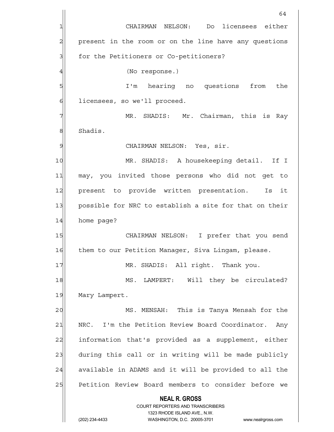**NEAL R. GROSS** COURT REPORTERS AND TRANSCRIBERS 1323 RHODE ISLAND AVE., N.W. (202) 234-4433 WASHINGTON, D.C. 20005-3701 www.nealrgross.com 64 1 CHAIRMAN NELSON: Do licensees either 2 present in the room or on the line have any questions 3 3 for the Petitioners or Co-petitioners? 4 (No response.) 5 I'm hearing no questions from the 6 6 licensees, so we'll proceed. 7 MR. SHADIS: Mr. Chairman, this is Ray 8 Shadis. 9 | CHAIRMAN NELSON: Yes, sir. 10 MR. SHADIS: A housekeeping detail. If I 11 may, you invited those persons who did not get to 12 present to provide written presentation. Is it 13 | possible for NRC to establish a site for that on their 14 home page? 15 CHAIRMAN NELSON: I prefer that you send 16 Them to our Petition Manager, Siva Lingam, please. 17 MR. SHADIS: All right. Thank you. 18 MS. LAMPERT: Will they be circulated? 19 Mary Lampert. 20 MS. MENSAH: This is Tanya Mensah for the 21 NRC. I'm the Petition Review Board Coordinator. Any 22 information that's provided as a supplement, either 23 during this call or in writing will be made publicly 24 available in ADAMS and it will be provided to all the 25 Petition Review Board members to consider before we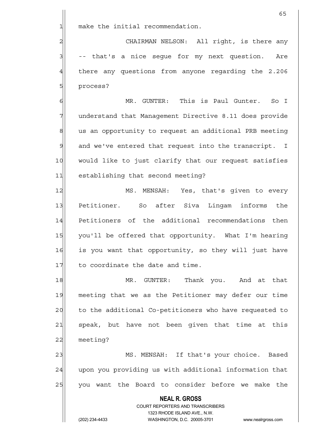| make the initial recommendation.<br>$\mathbf{1}$<br>$\overline{a}$<br>CHAIRMAN NELSON: All right, is there any<br>3<br>-- that's a nice seque for my next question. Are<br>$\overline{4}$<br>there any questions from anyone regarding the 2.206<br>$5\overline{)}$<br>process?<br>$\sigma$<br>MR. GUNTER: This is Paul Gunter. So I<br>7<br>understand that Management Directive 8.11 does provide<br>$\bf{8}$<br>us an opportunity to request an additional PRB meeting<br>$\mathfrak{g}$<br>and we've entered that request into the transcript. I<br>10<br>would like to just clarify that our request satisfies<br>11<br>establishing that second meeting?<br>12<br>MS. MENSAH: Yes, that's given to every<br>13<br>Petitioner. So after Siva Lingam informs<br>the<br>Petitioners of the additional recommendations then<br>14<br>15<br>you'll be offered that opportunity. What I'm hearing<br>16<br>is you want that opportunity, so they will just have<br>17<br>to coordinate the date and time.<br>MR. GUNTER: Thank you. And at that<br>18<br>19<br>meeting that we as the Petitioner may defer our time<br>to the additional Co-petitioners who have requested to<br>20<br>speak, but have not been given that time at this<br>21<br>22<br>meeting?<br>23<br>MS. MENSAH: If that's your choice. Based<br>24 | 65                                                     |
|-------------------------------------------------------------------------------------------------------------------------------------------------------------------------------------------------------------------------------------------------------------------------------------------------------------------------------------------------------------------------------------------------------------------------------------------------------------------------------------------------------------------------------------------------------------------------------------------------------------------------------------------------------------------------------------------------------------------------------------------------------------------------------------------------------------------------------------------------------------------------------------------------------------------------------------------------------------------------------------------------------------------------------------------------------------------------------------------------------------------------------------------------------------------------------------------------------------------------------------------------------------------------------------------------------------------------|--------------------------------------------------------|
|                                                                                                                                                                                                                                                                                                                                                                                                                                                                                                                                                                                                                                                                                                                                                                                                                                                                                                                                                                                                                                                                                                                                                                                                                                                                                                                         |                                                        |
|                                                                                                                                                                                                                                                                                                                                                                                                                                                                                                                                                                                                                                                                                                                                                                                                                                                                                                                                                                                                                                                                                                                                                                                                                                                                                                                         |                                                        |
|                                                                                                                                                                                                                                                                                                                                                                                                                                                                                                                                                                                                                                                                                                                                                                                                                                                                                                                                                                                                                                                                                                                                                                                                                                                                                                                         |                                                        |
|                                                                                                                                                                                                                                                                                                                                                                                                                                                                                                                                                                                                                                                                                                                                                                                                                                                                                                                                                                                                                                                                                                                                                                                                                                                                                                                         |                                                        |
|                                                                                                                                                                                                                                                                                                                                                                                                                                                                                                                                                                                                                                                                                                                                                                                                                                                                                                                                                                                                                                                                                                                                                                                                                                                                                                                         |                                                        |
|                                                                                                                                                                                                                                                                                                                                                                                                                                                                                                                                                                                                                                                                                                                                                                                                                                                                                                                                                                                                                                                                                                                                                                                                                                                                                                                         |                                                        |
|                                                                                                                                                                                                                                                                                                                                                                                                                                                                                                                                                                                                                                                                                                                                                                                                                                                                                                                                                                                                                                                                                                                                                                                                                                                                                                                         |                                                        |
|                                                                                                                                                                                                                                                                                                                                                                                                                                                                                                                                                                                                                                                                                                                                                                                                                                                                                                                                                                                                                                                                                                                                                                                                                                                                                                                         |                                                        |
|                                                                                                                                                                                                                                                                                                                                                                                                                                                                                                                                                                                                                                                                                                                                                                                                                                                                                                                                                                                                                                                                                                                                                                                                                                                                                                                         |                                                        |
|                                                                                                                                                                                                                                                                                                                                                                                                                                                                                                                                                                                                                                                                                                                                                                                                                                                                                                                                                                                                                                                                                                                                                                                                                                                                                                                         |                                                        |
|                                                                                                                                                                                                                                                                                                                                                                                                                                                                                                                                                                                                                                                                                                                                                                                                                                                                                                                                                                                                                                                                                                                                                                                                                                                                                                                         |                                                        |
|                                                                                                                                                                                                                                                                                                                                                                                                                                                                                                                                                                                                                                                                                                                                                                                                                                                                                                                                                                                                                                                                                                                                                                                                                                                                                                                         |                                                        |
|                                                                                                                                                                                                                                                                                                                                                                                                                                                                                                                                                                                                                                                                                                                                                                                                                                                                                                                                                                                                                                                                                                                                                                                                                                                                                                                         |                                                        |
|                                                                                                                                                                                                                                                                                                                                                                                                                                                                                                                                                                                                                                                                                                                                                                                                                                                                                                                                                                                                                                                                                                                                                                                                                                                                                                                         |                                                        |
|                                                                                                                                                                                                                                                                                                                                                                                                                                                                                                                                                                                                                                                                                                                                                                                                                                                                                                                                                                                                                                                                                                                                                                                                                                                                                                                         |                                                        |
|                                                                                                                                                                                                                                                                                                                                                                                                                                                                                                                                                                                                                                                                                                                                                                                                                                                                                                                                                                                                                                                                                                                                                                                                                                                                                                                         |                                                        |
|                                                                                                                                                                                                                                                                                                                                                                                                                                                                                                                                                                                                                                                                                                                                                                                                                                                                                                                                                                                                                                                                                                                                                                                                                                                                                                                         |                                                        |
|                                                                                                                                                                                                                                                                                                                                                                                                                                                                                                                                                                                                                                                                                                                                                                                                                                                                                                                                                                                                                                                                                                                                                                                                                                                                                                                         |                                                        |
|                                                                                                                                                                                                                                                                                                                                                                                                                                                                                                                                                                                                                                                                                                                                                                                                                                                                                                                                                                                                                                                                                                                                                                                                                                                                                                                         |                                                        |
|                                                                                                                                                                                                                                                                                                                                                                                                                                                                                                                                                                                                                                                                                                                                                                                                                                                                                                                                                                                                                                                                                                                                                                                                                                                                                                                         |                                                        |
|                                                                                                                                                                                                                                                                                                                                                                                                                                                                                                                                                                                                                                                                                                                                                                                                                                                                                                                                                                                                                                                                                                                                                                                                                                                                                                                         |                                                        |
|                                                                                                                                                                                                                                                                                                                                                                                                                                                                                                                                                                                                                                                                                                                                                                                                                                                                                                                                                                                                                                                                                                                                                                                                                                                                                                                         |                                                        |
|                                                                                                                                                                                                                                                                                                                                                                                                                                                                                                                                                                                                                                                                                                                                                                                                                                                                                                                                                                                                                                                                                                                                                                                                                                                                                                                         |                                                        |
|                                                                                                                                                                                                                                                                                                                                                                                                                                                                                                                                                                                                                                                                                                                                                                                                                                                                                                                                                                                                                                                                                                                                                                                                                                                                                                                         | upon you providing us with additional information that |
| 25<br>you want the Board to consider before we make the                                                                                                                                                                                                                                                                                                                                                                                                                                                                                                                                                                                                                                                                                                                                                                                                                                                                                                                                                                                                                                                                                                                                                                                                                                                                 |                                                        |
| <b>NEAL R. GROSS</b>                                                                                                                                                                                                                                                                                                                                                                                                                                                                                                                                                                                                                                                                                                                                                                                                                                                                                                                                                                                                                                                                                                                                                                                                                                                                                                    |                                                        |
| <b>COURT REPORTERS AND TRANSCRIBERS</b>                                                                                                                                                                                                                                                                                                                                                                                                                                                                                                                                                                                                                                                                                                                                                                                                                                                                                                                                                                                                                                                                                                                                                                                                                                                                                 |                                                        |
| 1323 RHODE ISLAND AVE., N.W.<br>(202) 234-4433<br>WASHINGTON, D.C. 20005-3701<br>www.nealrgross.com                                                                                                                                                                                                                                                                                                                                                                                                                                                                                                                                                                                                                                                                                                                                                                                                                                                                                                                                                                                                                                                                                                                                                                                                                     |                                                        |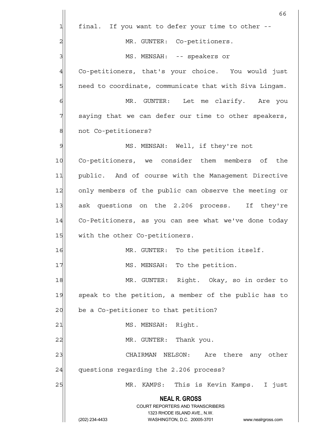|                | 66                                                                                                  |
|----------------|-----------------------------------------------------------------------------------------------------|
| $\mathbf{1}$   | final. If you want to defer your time to other --                                                   |
| $\overline{c}$ | MR. GUNTER: Co-petitioners.                                                                         |
| 3              | MS. MENSAH: -- speakers or                                                                          |
| $\overline{4}$ | Co-petitioners, that's your choice. You would just                                                  |
| 5              | need to coordinate, communicate that with Siva Lingam.                                              |
| 6              | Let me clarify. Are you<br>MR. GUNTER:                                                              |
| 7              | saying that we can defer our time to other speakers,                                                |
| 8              | not Co-petitioners?                                                                                 |
| $\mathcal{Q}$  | MS. MENSAH: Well, if they're not                                                                    |
| 10             | Co-petitioners, we consider them members of<br>the                                                  |
| 11             | public. And of course with the Management Directive                                                 |
| 12             | only members of the public can observe the meeting or                                               |
| 13             | ask questions on the 2.206 process. If they're                                                      |
| 14             | Co-Petitioners, as you can see what we've done today                                                |
| 15             | with the other Co-petitioners.                                                                      |
| 16             | To the petition itself.<br>MR. GUNTER:                                                              |
| 17             | MS. MENSAH: To the petition.                                                                        |
| 18             | MR. GUNTER: Right. Okay, so in order to                                                             |
| 19             | speak to the petition, a member of the public has to                                                |
| 20             | be a Co-petitioner to that petition?                                                                |
| 21             | MS. MENSAH: Right.                                                                                  |
| 22             | MR. GUNTER: Thank you.                                                                              |
| 23             | NELSON: Are there any other<br>CHAIRMAN                                                             |
| 24             | questions regarding the 2.206 process?                                                              |
| 25             | KAMPS: This is Kevin Kamps. I just<br>MR.                                                           |
|                | <b>NEAL R. GROSS</b>                                                                                |
|                | <b>COURT REPORTERS AND TRANSCRIBERS</b>                                                             |
|                | 1323 RHODE ISLAND AVE., N.W.<br>(202) 234-4433<br>WASHINGTON, D.C. 20005-3701<br>www.nealrgross.com |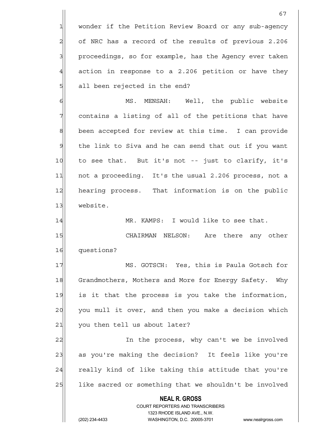|                | 67                                                                                                  |
|----------------|-----------------------------------------------------------------------------------------------------|
| 1              | wonder if the Petition Review Board or any sub-agency                                               |
| 2              | of NRC has a record of the results of previous 2.206                                                |
| 3              | proceedings, so for example, has the Agency ever taken                                              |
| $\overline{4}$ | action in response to a 2.206 petition or have they                                                 |
| 5              | all been rejected in the end?                                                                       |
| 6              | MENSAH: Well, the public website<br>MS.                                                             |
| 7              | contains a listing of all of the petitions that have                                                |
| $\,8\,$        | been accepted for review at this time. I can provide                                                |
| $\mathsf{S}$   | the link to Siva and he can send that out if you want                                               |
| 10             | to see that. But it's not -- just to clarify, it's                                                  |
| 11             | not a proceeding. It's the usual 2.206 process, not a                                               |
| 12             | hearing process. That information is on the public                                                  |
| 13             | website.                                                                                            |
| 14             | MR. KAMPS: I would like to see that.                                                                |
| 15             | CHAIRMAN NELSON: Are there any other                                                                |
| 16             | questions?                                                                                          |
| 17             | MS. GOTSCH: Yes, this is Paula Gotsch for                                                           |
| 18             | Grandmothers, Mothers and More for Energy Safety.<br>Why                                            |
| 19             | is it that the process is you take the information,                                                 |
| 20             | you mull it over, and then you make a decision which                                                |
| 21             | you then tell us about later?                                                                       |
| 22             | In the process, why can't we be involved                                                            |
| 23             | as you're making the decision? It feels like you're                                                 |
| 24             | really kind of like taking this attitude that you're                                                |
| 25             | like sacred or something that we shouldn't be involved                                              |
|                | <b>NEAL R. GROSS</b>                                                                                |
|                | <b>COURT REPORTERS AND TRANSCRIBERS</b>                                                             |
|                | 1323 RHODE ISLAND AVE., N.W.<br>(202) 234-4433<br>WASHINGTON, D.C. 20005-3701<br>www.nealrgross.com |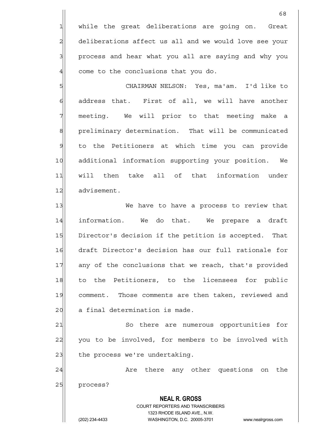while the great deliberations are going on. Great deliberations affect us all and we would love see your 3 3 process and hear what you all are saying and why you come to the conclusions that you do.

5 CHAIRMAN NELSON: Yes, ma'am. I'd like to  $6$  address that. First of all, we will have another  $7$  meeting. We will prior to that meeting make a 8 8 preliminary determination. That will be communicated 9 to the Petitioners at which time you can provide 10 additional information supporting your position. We 11 will then take all of that information under 12 advisement.

13|| We have to have a process to review that 14 information. We do that. We prepare a draft 15 Director's decision if the petition is accepted. That 16 draft Director's decision has our full rationale for 17 any of the conclusions that we reach, that's provided 18 to the Petitioners, to the licensees for public 19 comment. Those comments are then taken, reviewed and 20 a final determination is made.

21 So there are numerous opportunities for 22 you to be involved, for members to be involved with  $23$  the process we're undertaking.

24 are there any other questions on the 25 process?

> COURT REPORTERS AND TRANSCRIBERS 1323 RHODE ISLAND AVE., N.W. (202) 234-4433 WASHINGTON, D.C. 20005-3701 www.nealrgross.com

 **NEAL R. GROSS**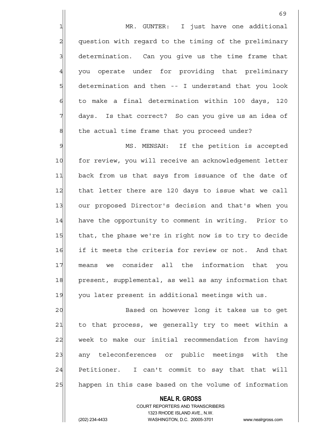1 MR. GUNTER: I just have one additional 2 question with regard to the timing of the preliminary  $3$  determination. Can you give us the time frame that 4 you operate under for providing that preliminary  $5$  determination and then -- I understand that you look  $6$  to make a final determination within 100 days, 120  $7$  days. Is that correct? So can you give us an idea of 8 8 the actual time frame that you proceed under?

9 MS. MENSAH: If the petition is accepted 10 for review, you will receive an acknowledgement letter 11 back from us that says from issuance of the date of 12 that letter there are 120 days to issue what we call 13 our proposed Director's decision and that's when you 14 have the opportunity to comment in writing. Prior to 15 that, the phase we're in right now is to try to decide 16 if it meets the criteria for review or not. And that 17 means we consider all the information that you 18 present, supplemental, as well as any information that 19 you later present in additional meetings with us.

20 | Based on however long it takes us to get 21 to that process, we generally try to meet within a 22 week to make our initial recommendation from having 23 any teleconferences or public meetings with the 24 Petitioner. I can't commit to say that that will 25 happen in this case based on the volume of information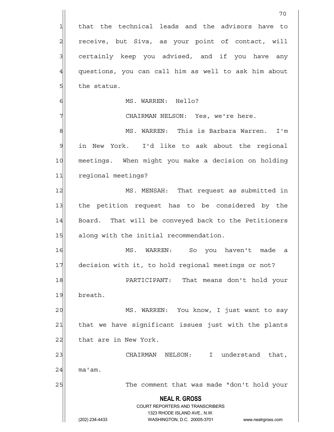|                                                                                                          | 70                                                                  |
|----------------------------------------------------------------------------------------------------------|---------------------------------------------------------------------|
| 1                                                                                                        | that the technical leads and the advisors have to                   |
| $\overline{a}$                                                                                           | receive, but Siva, as your point of contact, will                   |
| 3                                                                                                        | certainly keep you advised, and if you have any                     |
| $\overline{4}$                                                                                           | questions, you can call him as well to ask him about                |
| $5\overline{a}$                                                                                          | the status.                                                         |
| 6                                                                                                        | MS. WARREN: Hello?                                                  |
| 7                                                                                                        | CHAIRMAN NELSON: Yes, we're here.                                   |
| 8                                                                                                        | MS. WARREN: This is Barbara Warren.<br>I'm                          |
| $\mathsf{S}% _{T}=\mathsf{S}_{T}\!\left( a,b\right) ,\mathsf{S}_{T}=\mathsf{S}_{T}\!\left( a,b\right) ,$ | in New York. I'd like to ask about the regional                     |
| 10                                                                                                       | meetings. When might you make a decision on holding                 |
| 11                                                                                                       | regional meetings?                                                  |
| 12                                                                                                       | MS. MENSAH: That request as submitted in                            |
| 13                                                                                                       | the petition request has to be considered by the                    |
| 14                                                                                                       | Board. That will be conveyed back to the Petitioners                |
| 15                                                                                                       | along with the initial recommendation.                              |
| 16                                                                                                       | MS.<br>WARREN: So you haven't made a                                |
| 17                                                                                                       | decision with it, to hold regional meetings or not?                 |
| 18                                                                                                       | PARTICIPANT: That means don't hold your                             |
| 19                                                                                                       | breath.                                                             |
| 20                                                                                                       | MS. WARREN: You know, I just want to say                            |
| 21                                                                                                       | that we have significant issues just with the plants                |
| 22                                                                                                       | that are in New York.                                               |
| 23                                                                                                       | CHAIRMAN NELSON: I understand that,                                 |
| 24                                                                                                       | ma'am.                                                              |
| 25                                                                                                       | The comment that was made "don't hold your                          |
|                                                                                                          | <b>NEAL R. GROSS</b><br><b>COURT REPORTERS AND TRANSCRIBERS</b>     |
|                                                                                                          | 1323 RHODE ISLAND AVE., N.W.                                        |
|                                                                                                          | (202) 234-4433<br>WASHINGTON, D.C. 20005-3701<br>www.nealrgross.com |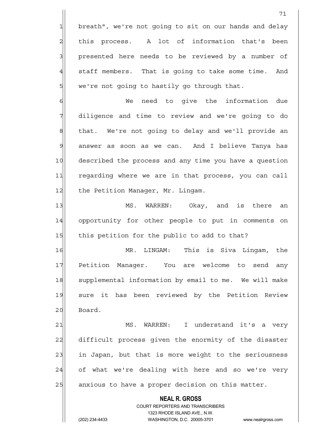**NEAL R. GROSS** COURT REPORTERS AND TRANSCRIBERS 1323 RHODE ISLAND AVE., N.W. 71  $1$  breath", we're not going to sit on our hands and delay 2 this process. A lot of information that's been 3 3 presented here needs to be reviewed by a number of 4 staff members. That is going to take some time. And  $5$  we're not going to hastily go through that. 6 Me need to give the information due 7 diligence and time to review and we're going to do 8 8 that. We're not going to delay and we'll provide an 9 answer as soon as we can. And I believe Tanya has 10 described the process and any time you have a question 11 regarding where we are in that process, you can call 12 the Petition Manager, Mr. Lingam. 13 MS. WARREN: Okay, and is there an 14 opportunity for other people to put in comments on 15 this petition for the public to add to that? 16 MR. LINGAM: This is Siva Lingam, the 17 Petition Manager. You are welcome to send any 18 Supplemental information by email to me. We will make 19| sure it has been reviewed by the Petition Review 20 Board. 21 MS. WARREN: I understand it's a very 22 difficult process given the enormity of the disaster 23 in Japan, but that is more weight to the seriousness 24 of what we're dealing with here and so we're very 25 anxious to have a proper decision on this matter.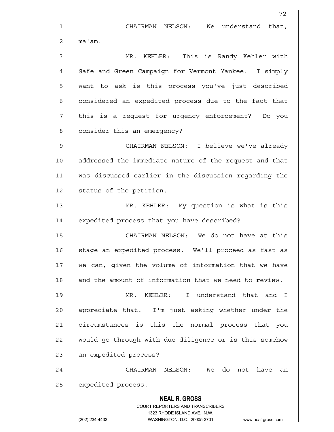**NEAL R. GROSS** COURT REPORTERS AND TRANSCRIBERS 1323 RHODE ISLAND AVE., N.W. 72 1 CHAIRMAN NELSON: We understand that,  $2$ | ma'am. 3 MR. KEHLER: This is Randy Kehler with 4 Safe and Green Campaign for Vermont Yankee. I simply 5 s want to ask is this process you've just described 6 6 6 6 considered an expedited process due to the fact that  $7$  this is a request for urgency enforcement? Do you 8 consider this an emergency? 9 Sepang CHAIRMAN NELSON: I believe we've already 10 addressed the immediate nature of the request and that 11 was discussed earlier in the discussion regarding the 12 status of the petition. 13 MR. KEHLER: My question is what is this 14 expedited process that you have described? 15 CHAIRMAN NELSON: We do not have at this 16 stage an expedited process. We'll proceed as fast as 17 we can, given the volume of information that we have 18 and the amount of information that we need to review. 19 MR. KEHLER: I understand that and I 20 appreciate that. I'm just asking whether under the 21 circumstances is this the normal process that you 22 would go through with due diligence or is this somehow 23 an expedited process? 24 CHAIRMAN NELSON: We do not have an 25 expedited process.

(202) 234-4433 WASHINGTON, D.C. 20005-3701 www.nealrgross.com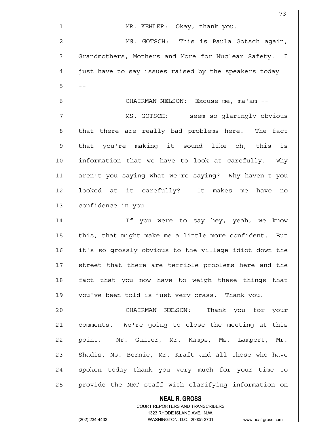|               | 73                                                                                                  |
|---------------|-----------------------------------------------------------------------------------------------------|
|               | MR. KEHLER: Okay, thank you.                                                                        |
| 2             | MS. GOTSCH: This is Paula Gotsch again,                                                             |
| $\mathbf{3}$  | Grandmothers, Mothers and More for Nuclear Safety. I                                                |
| 4             | just have to say issues raised by the speakers today                                                |
| 5             |                                                                                                     |
| 6             | CHAIRMAN NELSON: Excuse me, ma'am --                                                                |
|               | MS. GOTSCH: -- seem so glaringly obvious                                                            |
| $\mathbf 8$   | that there are really bad problems here. The fact                                                   |
| $\mathcal{G}$ | that you're making it sound like oh, this is                                                        |
| 10            | information that we have to look at carefully. Why                                                  |
| 11            | aren't you saying what we're saying? Why haven't you                                                |
| 12            | looked at it carefully? It makes me<br>have<br>no                                                   |
| 13            | confidence in you.                                                                                  |
| 14            | If you were to say hey, yeah, we know                                                               |
| 15            | this, that might make me a little more confident. But                                               |
| 16            | it's so grossly obvious to the village idiot down the                                               |
| 17            | street that there are terrible problems here and the                                                |
| 18            | fact that you now have to weigh these things that                                                   |
| 19            | you've been told is just very crass. Thank you.                                                     |
| 20            | CHAIRMAN NELSON:<br>Thank you for your                                                              |
| 21            | comments. We're going to close the meeting at this                                                  |
| 22            | point. Mr. Gunter, Mr. Kamps, Ms. Lampert, Mr.                                                      |
| 23            | Shadis, Ms. Bernie, Mr. Kraft and all those who have                                                |
| 24            | spoken today thank you very much for your time to                                                   |
| 25            | provide the NRC staff with clarifying information on                                                |
|               | <b>NEAL R. GROSS</b>                                                                                |
|               | <b>COURT REPORTERS AND TRANSCRIBERS</b>                                                             |
|               | 1323 RHODE ISLAND AVE., N.W.<br>(202) 234-4433<br>WASHINGTON, D.C. 20005-3701<br>www.nealrgross.com |